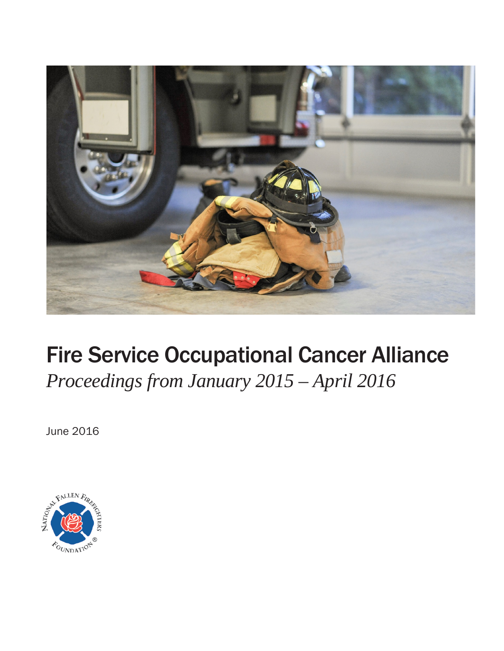

# Fire Service Occupational Cancer Alliance

*Proceedings from January 2015 – April 2016*

June 2016

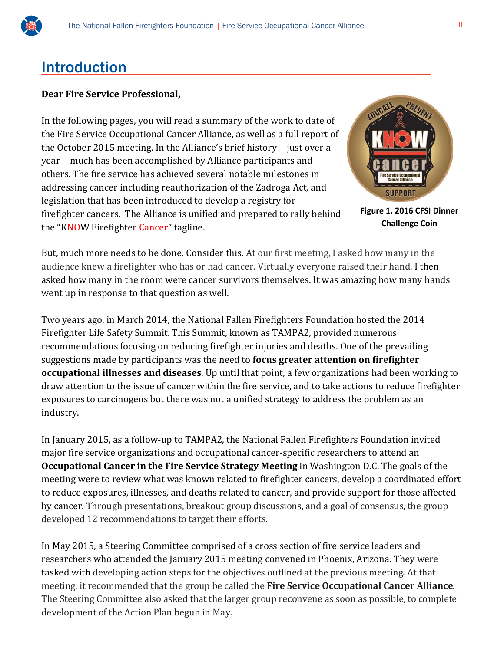

## Introduction

#### **Dear Fire Service Professional,**

In the following pages, you will read a summary of the work to date of the Fire Service Occupational Cancer Alliance, as well as a full report of the October 2015 meeting. In the Alliance's brief history—just over a year—much has been accomplished by Alliance participants and others. The fire service has achieved several notable milestones in addressing cancer including reauthorization of the Zadroga Act, and legislation that has been introduced to develop a registry for firefighter cancers. The Alliance is unified and prepared to rally behind the "KNOW Firefighter Cancer" tagline.



**Figure 1. 2016 CFSI Dinner Challenge Coin**

But, much more needs to be done. Consider this. At our first meeting, I asked how many in the audience knew a firefighter who has or had cancer. Virtually everyone raised their hand. I then asked how many in the room were cancer survivors themselves. It was amazing how many hands went up in response to that question as well.

Two years ago, in March 2014, the National Fallen Firefighters Foundation hosted the 2014 Firefighter Life Safety Summit. This Summit, known as TAMPA2, provided numerous recommendations focusing on reducing firefighter injuries and deaths. One of the prevailing suggestions made by participants was the need to **focus greater attention on firefighter occupational illnesses and diseases**. Up until that point, a few organizations had been working to draw attention to the issue of cancer within the fire service, and to take actions to reduce firefighter exposures to carcinogens but there was not a unified strategy to address the problem as an industry.

In January 2015, as a follow-up to TAMPA2, the National Fallen Firefighters Foundation invited major fire service organizations and occupational cancer-specific researchers to attend an **Occupational Cancer in the Fire Service Strategy Meeting** in Washington D.C. The goals of the meeting were to review what was known related to firefighter cancers, develop a coordinated effort to reduce exposures, illnesses, and deaths related to cancer, and provide support for those affected by cancer. Through presentations, breakout group discussions, and a goal of consensus, the group developed 12 recommendations to target their efforts.

In May 2015, a Steering Committee comprised of a cross section of fire service leaders and researchers who attended the January 2015 meeting convened in Phoenix, Arizona. They were tasked with developing action steps for the objectives outlined at the previous meeting. At that meeting, it recommended that the group be called the **Fire Service Occupational Cancer Alliance**. The Steering Committee also asked that the larger group reconvene as soon as possible, to complete development of the Action Plan begun in May.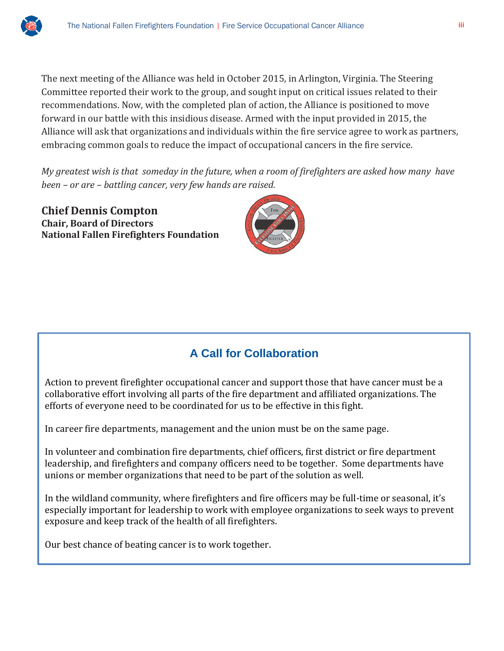

The next meeting of the Alliance was held in October 2015, in Arlington, Virginia. The Steering Committee reported their work to the group, and sought input on critical issues related to their recommendations. Now, with the completed plan of action, the Alliance is positioned to move forward in our battle with this insidious disease. Armed with the input provided in 2015, the Alliance will ask that organizations and individuals within the fire service agree to work as partners, embracing common goals to reduce the impact of occupational cancers in the fire service.

*My greatest wish is that someday in the future, when a room of firefighters are asked how many have been – or are – battling cancer, very few hands are raised.* 

**Chief Dennis Compton Chair, Board of Directors National Fallen Firefighters Foundation**



## **A Call for Collaboration**

Action to prevent firefighter occupational cancer and support those that have cancer must be a collaborative effort involving all parts of the fire department and affiliated organizations. The efforts of everyone need to be coordinated for us to be effective in this fight.

In career fire departments, management and the union must be on the same page.

In volunteer and combination fire departments, chief officers, first district or fire department leadership, and firefighters and company officers need to be together. Some departments have unions or member organizations that need to be part of the solution as well.

In the wildland community, where firefighters and fire officers may be full-time or seasonal, it's especially important for leadership to work with employee organizations to seek ways to prevent exposure and keep track of the health of all firefighters.

Our best chance of beating cancer is to work together.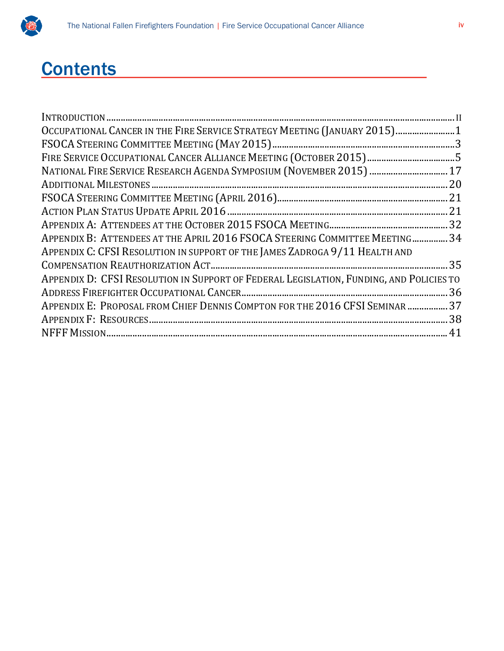

## **Contents**

| OCCUPATIONAL CANCER IN THE FIRE SERVICE STRATEGY MEETING (JANUARY 2015)1                |  |
|-----------------------------------------------------------------------------------------|--|
|                                                                                         |  |
|                                                                                         |  |
| NATIONAL FIRE SERVICE RESEARCH AGENDA SYMPOSIUM (NOVEMBER 2015)  17                     |  |
|                                                                                         |  |
|                                                                                         |  |
|                                                                                         |  |
|                                                                                         |  |
| APPENDIX B: ATTENDEES AT THE APRIL 2016 FSOCA STEERING COMMITTEE MEETING 34             |  |
| APPENDIX C: CFSI RESOLUTION IN SUPPORT OF THE JAMES ZADROGA 9/11 HEALTH AND             |  |
|                                                                                         |  |
| APPENDIX D: CFSI RESOLUTION IN SUPPORT OF FEDERAL LEGISLATION, FUNDING, AND POLICIES TO |  |
|                                                                                         |  |
| APPENDIX E: PROPOSAL FROM CHIEF DENNIS COMPTON FOR THE 2016 CFSI SEMINAR  37            |  |
|                                                                                         |  |
|                                                                                         |  |
|                                                                                         |  |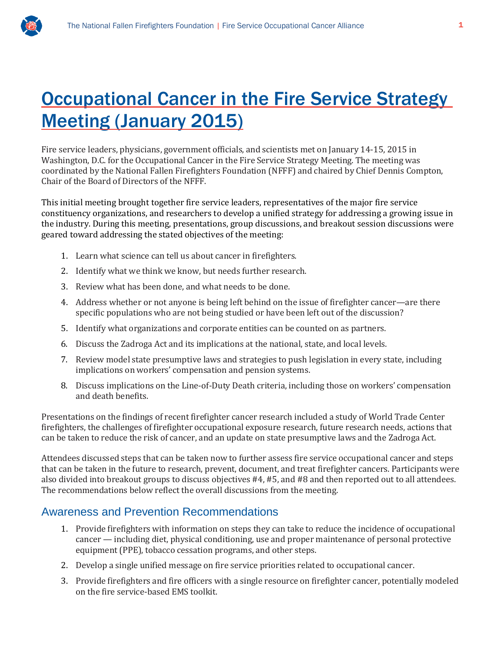

## **Occupational Cancer in the Fire Service Strategy** Meeting (January 2015)

Fire service leaders, physicians, government officials, and scientists met on January 14-15, 2015 in Washington, D.C. for the Occupational Cancer in the Fire Service Strategy Meeting. The meeting was coordinated by the National Fallen Firefighters Foundation (NFFF) and chaired by Chief Dennis Compton, Chair of the Board of Directors of the NFFF.

This initial meeting brought together fire service leaders, representatives of the major fire service constituency organizations, and researchers to develop a unified strategy for addressing a growing issue in the industry. During this meeting, presentations, group discussions, and breakout session discussions were geared toward addressing the stated objectives of the meeting:

- 1. Learn what science can tell us about cancer in firefighters.
- 2. Identify what we think we know, but needs further research.
- 3. Review what has been done, and what needs to be done.
- 4. Address whether or not anyone is being left behind on the issue of firefighter cancer—are there specific populations who are not being studied or have been left out of the discussion?
- 5. Identify what organizations and corporate entities can be counted on as partners.
- 6. Discuss the Zadroga Act and its implications at the national, state, and local levels.
- 7. Review model state presumptive laws and strategies to push legislation in every state, including implications on workers' compensation and pension systems.
- 8. Discuss implications on the Line-of-Duty Death criteria, including those on workers' compensation and death benefits.

Presentations on the findings of recent firefighter cancer research included a study of World Trade Center firefighters, the challenges of firefighter occupational exposure research, future research needs, actions that can be taken to reduce the risk of cancer, and an update on state presumptive laws and the Zadroga Act.

Attendees discussed steps that can be taken now to further assess fire service occupational cancer and steps that can be taken in the future to research, prevent, document, and treat firefighter cancers. Participants were also divided into breakout groups to discuss objectives #4, #5, and #8 and then reported out to all attendees. The recommendations below reflect the overall discussions from the meeting.

### Awareness and Prevention Recommendations

- 1. Provide firefighters with information on steps they can take to reduce the incidence of occupational cancer — including diet, physical conditioning, use and proper maintenance of personal protective equipment (PPE), tobacco cessation programs, and other steps.
- 2. Develop a single unified message on fire service priorities related to occupational cancer.
- 3. Provide firefighters and fire officers with a single resource on firefighter cancer, potentially modeled on the fire service-based EMS toolkit.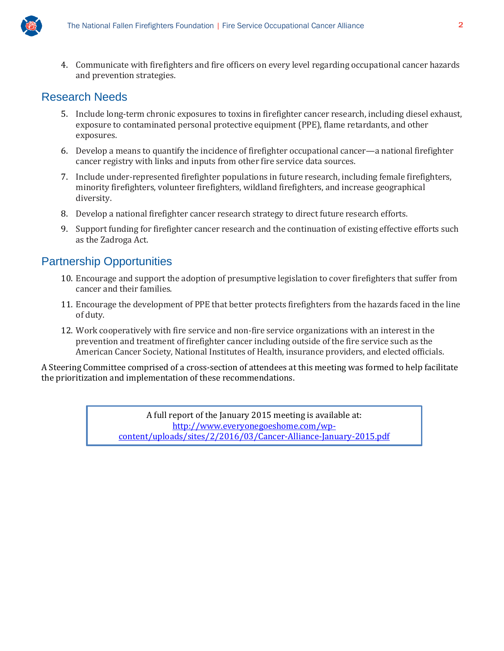

4. Communicate with firefighters and fire officers on every level regarding occupational cancer hazards and prevention strategies.

### Research Needs

- 5. Include long-term chronic exposures to toxins in firefighter cancer research, including diesel exhaust, exposure to contaminated personal protective equipment (PPE), flame retardants, and other exposures.
- 6. Develop a means to quantify the incidence of firefighter occupational cancer—a national firefighter cancer registry with links and inputs from other fire service data sources.
- 7. Include under-represented firefighter populations in future research, including female firefighters, minority firefighters, volunteer firefighters, wildland firefighters, and increase geographical diversity.
- 8. Develop a national firefighter cancer research strategy to direct future research efforts.
- 9. Support funding for firefighter cancer research and the continuation of existing effective efforts such as the Zadroga Act.

## Partnership Opportunities

- 10. Encourage and support the adoption of presumptive legislation to cover firefighters that suffer from cancer and their families.
- 11. Encourage the development of PPE that better protects firefighters from the hazards faced in the line of duty.
- 12. Work cooperatively with fire service and non-fire service organizations with an interest in the prevention and treatment of firefighter cancer including outside of the fire service such as the American Cancer Society, National Institutes of Health, insurance providers, and elected officials.

A Steering Committee comprised of a cross-section of attendees at this meeting was formed to help facilitate the prioritization and implementation of these recommendations.

> A full report of the January 2015 meeting is available at: [http://www.everyonegoeshome.com/wp](http://www.everyonegoeshome.com/wp-content/uploads/sites/2/2016/03/Cancer-Alliance-January-2015.pdf)[content/uploads/sites/2/2016/03/Cancer-Alliance-January-2015.pdf](http://www.everyonegoeshome.com/wp-content/uploads/sites/2/2016/03/Cancer-Alliance-January-2015.pdf)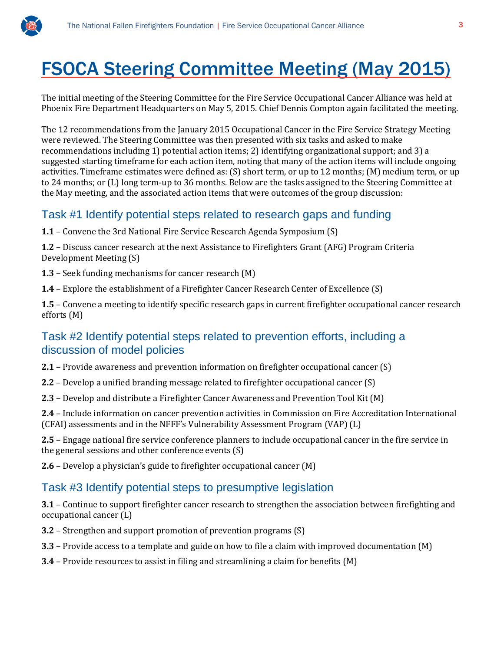

## FSOCA Steering Committee Meeting (May 2015)

The initial meeting of the Steering Committee for the Fire Service Occupational Cancer Alliance was held at Phoenix Fire Department Headquarters on May 5, 2015. Chief Dennis Compton again facilitated the meeting.

The 12 recommendations from the January 2015 Occupational Cancer in the Fire Service Strategy Meeting were reviewed. The Steering Committee was then presented with six tasks and asked to make recommendations including 1) potential action items; 2) identifying organizational support; and 3) a suggested starting timeframe for each action item, noting that many of the action items will include ongoing activities. Timeframe estimates were defined as: (S) short term, or up to 12 months; (M) medium term, or up to 24 months; or (L) long term-up to 36 months. Below are the tasks assigned to the Steering Committee at the May meeting, and the associated action items that were outcomes of the group discussion:

### Task #1 Identify potential steps related to research gaps and funding

**1.1** – Convene the 3rd National Fire Service Research Agenda Symposium (S)

**1.2** – Discuss cancer research at the next Assistance to Firefighters Grant (AFG) Program Criteria Development Meeting (S)

- **1.3** Seek funding mechanisms for cancer research (M)
- **1.4** Explore the establishment of a Firefighter Cancer Research Center of Excellence (S)

**1.5** – Convene a meeting to identify specific research gaps in current firefighter occupational cancer research efforts (M)

### Task #2 Identify potential steps related to prevention efforts, including a discussion of model policies

**2.1** – Provide awareness and prevention information on firefighter occupational cancer (S)

- **2.2** Develop a unified branding message related to firefighter occupational cancer (S)
- **2.3** Develop and distribute a Firefighter Cancer Awareness and Prevention Tool Kit (M)

**2.4** – Include information on cancer prevention activities in Commission on Fire Accreditation International (CFAI) assessments and in the NFFF's Vulnerability Assessment Program (VAP) (L)

**2.5** – Engage national fire service conference planners to include occupational cancer in the fire service in the general sessions and other conference events (S)

**2.6** – Develop a physician's guide to firefighter occupational cancer (M)

## Task #3 Identify potential steps to presumptive legislation

**3.1** – Continue to support firefighter cancer research to strengthen the association between firefighting and occupational cancer (L)

**3.2** – Strengthen and support promotion of prevention programs (S)

- **3.3** Provide access to a template and guide on how to file a claim with improved documentation (M)
- **3.4** Provide resources to assist in filing and streamlining a claim for benefits (M)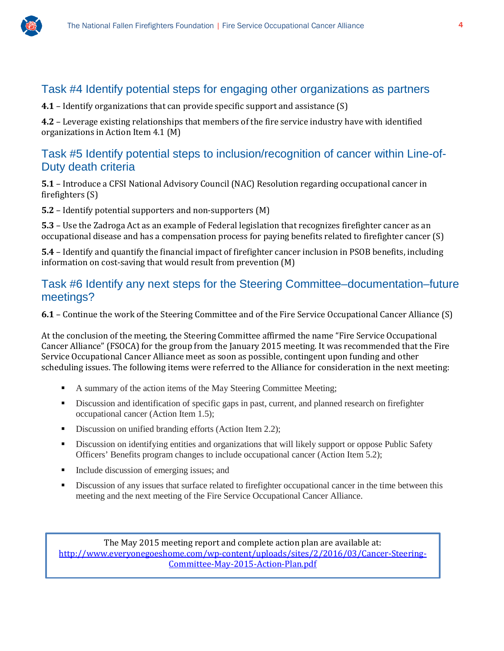

### Task #4 Identify potential steps for engaging other organizations as partners

**4.1** – Identify organizations that can provide specific support and assistance (S)

**4.2** – Leverage existing relationships that members of the fire service industry have with identified organizations in Action Item 4.1 (M)

#### Task #5 Identify potential steps to inclusion/recognition of cancer within Line-of-Duty death criteria

**5.1** – Introduce a CFSI National Advisory Council (NAC) Resolution regarding occupational cancer in firefighters (S)

**5.2** – Identify potential supporters and non-supporters (M)

**5.3** – Use the Zadroga Act as an example of Federal legislation that recognizes firefighter cancer as an occupational disease and has a compensation process for paying benefits related to firefighter cancer (S)

**5.4** – Identify and quantify the financial impact of firefighter cancer inclusion in PSOB benefits, including information on cost-saving that would result from prevention (M)

#### Task #6 Identify any next steps for the Steering Committee–documentation–future meetings?

**6.1** – Continue the work of the Steering Committee and of the Fire Service Occupational Cancer Alliance (S)

At the conclusion of the meeting, the Steering Committee affirmed the name "Fire Service Occupational Cancer Alliance" (FSOCA) for the group from the January 2015 meeting. It was recommended that the Fire Service Occupational Cancer Alliance meet as soon as possible, contingent upon funding and other scheduling issues. The following items were referred to the Alliance for consideration in the next meeting:

- A summary of the action items of the May Steering Committee Meeting;
- Discussion and identification of specific gaps in past, current, and planned research on firefighter occupational cancer (Action Item 1.5);
- Discussion on unified branding efforts (Action Item 2.2);
- **EXECUTE:** Discussion on identifying entities and organizations that will likely support or oppose Public Safety Officers' Benefits program changes to include occupational cancer (Action Item 5.2);
- Include discussion of emerging issues; and
- Discussion of any issues that surface related to firefighter occupational cancer in the time between this meeting and the next meeting of the Fire Service Occupational Cancer Alliance.

The May 2015 meeting report and complete action plan are available at: [http://www.everyonegoeshome.com/wp-content/uploads/sites/2/2016/03/Cancer-Steering-](http://www.everyonegoeshome.com/wp-content/uploads/sites/2/2016/03/Cancer-Steering-Committee-May-2015-Action-Plan.pdf)[Committee-May-2015-Action-Plan.pdf](http://www.everyonegoeshome.com/wp-content/uploads/sites/2/2016/03/Cancer-Steering-Committee-May-2015-Action-Plan.pdf)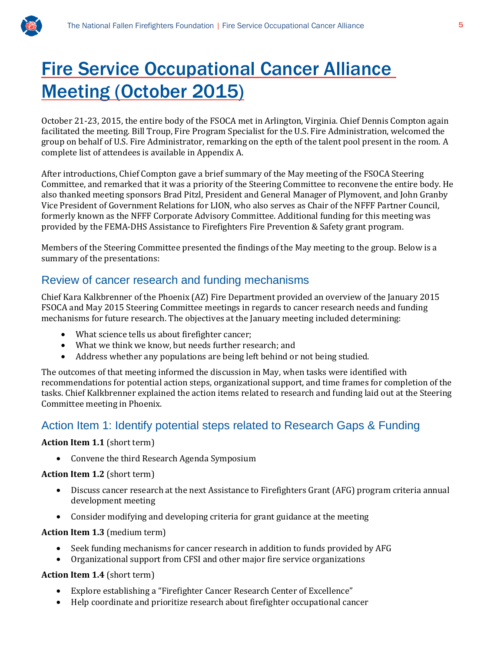

October 21-23, 2015, the entire body of the FSOCA met in Arlington, Virginia. Chief Dennis Compton again facilitated the meeting. Bill Troup, Fire Program Specialist for the U.S. Fire Administration, welcomed the group on behalf of U.S. Fire Administrator, remarking on the epth of the talent pool present in the room. A complete list of attendees is available in Appendix A.

After introductions, Chief Compton gave a brief summary of the May meeting of the FSOCA Steering Committee, and remarked that it was a priority of the Steering Committee to reconvene the entire body. He also thanked meeting sponsors Brad Pitzl, President and General Manager of Plymovent, and John Granby Vice President of Government Relations for LION, who also serves as Chair of the NFFF Partner Council, formerly known as the NFFF Corporate Advisory Committee. Additional funding for this meeting was provided by the FEMA-DHS Assistance to Firefighters Fire Prevention & Safety grant program.

Members of the Steering Committee presented the findings of the May meeting to the group. Below is a summary of the presentations:

### Review of cancer research and funding mechanisms

Chief Kara Kalkbrenner of the Phoenix (AZ) Fire Department provided an overview of the January 2015 FSOCA and May 2015 Steering Committee meetings in regards to cancer research needs and funding mechanisms for future research. The objectives at the January meeting included determining:

- What science tells us about firefighter cancer;
- What we think we know, but needs further research; and
- Address whether any populations are being left behind or not being studied.

The outcomes of that meeting informed the discussion in May, when tasks were identified with recommendations for potential action steps, organizational support, and time frames for completion of the tasks. Chief Kalkbrenner explained the action items related to research and funding laid out at the Steering Committee meeting in Phoenix.

### Action Item 1: Identify potential steps related to Research Gaps & Funding

#### **Action Item 1.1** (short term)

• Convene the third Research Agenda Symposium

#### **Action Item 1.2** (short term)

- Discuss cancer research at the next Assistance to Firefighters Grant (AFG) program criteria annual development meeting
- Consider modifying and developing criteria for grant guidance at the meeting

#### **Action Item 1.3** (medium term)

- Seek funding mechanisms for cancer research in addition to funds provided by AFG<br>• Organizational support from CFSI and other maior fire service organizations
- Organizational support from CFSI and other major fire service organizations

#### **Action Item 1.4** (short term)

- Explore establishing a "Firefighter Cancer Research Center of Excellence"
- Help coordinate and prioritize research about firefighter occupational cancer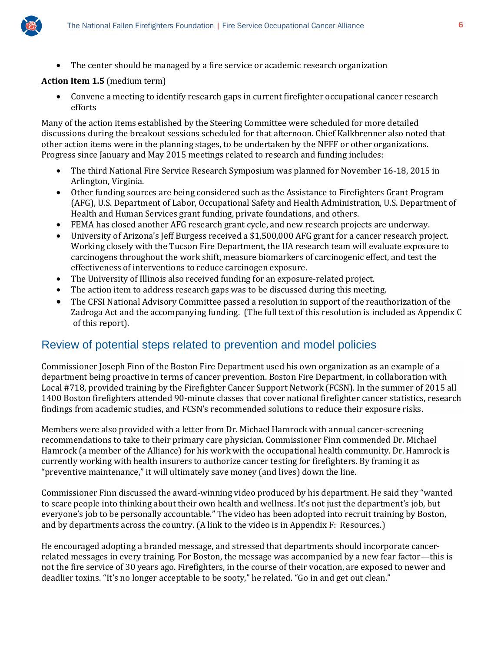

• The center should be managed by a fire service or academic research organization

#### **Action Item 1.5** (medium term)

• Convene a meeting to identify research gaps in current firefighter occupational cancer research efforts

Many of the action items established by the Steering Committee were scheduled for more detailed discussions during the breakout sessions scheduled for that afternoon. Chief Kalkbrenner also noted that other action items were in the planning stages, to be undertaken by the NFFF or other organizations. Progress since January and May 2015 meetings related to research and funding includes:

- The third National Fire Service Research Symposium was planned for November 16-18, 2015 in Arlington, Virginia.
- Other funding sources are being considered such as the Assistance to Firefighters Grant Program (AFG), U.S. Department of Labor, Occupational Safety and Health Administration, U.S. Department of Health and Human Services grant funding, private foundations, and others.
- FEMA has closed another AFG research grant cycle, and new research projects are underway.
- University of Arizona's Jeff Burgess received a \$1,500,000 AFG grant for a cancer research project. Working closely with the Tucson Fire Department, the UA research team will evaluate exposure to carcinogens throughout the work shift, measure biomarkers of carcinogenic effect, and test the effectiveness of interventions to reduce carcinogen exposure.
- The University of Illinois also received funding for an exposure-related project.
- The action item to address research gaps was to be discussed during this meeting.
- The CFSI National Advisory Committee passed a resolution in support of the reauthorization of the Zadroga Act and the accompanying funding. (The full text of this resolution is included as Appendix C of this report).

### Review of potential steps related to prevention and model policies

Commissioner Joseph Finn of the Boston Fire Department used his own organization as an example of a department being proactive in terms of cancer prevention. Boston Fire Department, in collaboration with Local #718, provided training by the Firefighter Cancer Support Network (FCSN). In the summer of 2015 all 1400 Boston firefighters attended 90-minute classes that cover national firefighter cancer statistics, research findings from academic studies, and FCSN's recommended solutions to reduce their exposure risks.

Members were also provided with a letter from Dr. Michael Hamrock with annual cancer-screening recommendations to take to their primary care physician. Commissioner Finn commended Dr. Michael Hamrock (a member of the Alliance) for his work with the occupational health community. Dr. Hamrock is currently working with health insurers to authorize cancer testing for firefighters. By framing it as "preventive maintenance," it will ultimately save money (and lives) down the line.

Commissioner Finn discussed the award-winning video produced by his department. He said they "wanted to scare people into thinking about their own health and wellness. It's not just the department's job, but everyone's job to be personally accountable." The video has been adopted into recruit training by Boston, and by departments across the country. (A link to the video is in Appendix F: Resources.)

He encouraged adopting a branded message, and stressed that departments should incorporate cancerrelated messages in every training. For Boston, the message was accompanied by a new fear factor—this is not the fire service of 30 years ago. Firefighters, in the course of their vocation, are exposed to newer and deadlier toxins. "It's no longer acceptable to be sooty," he related. "Go in and get out clean."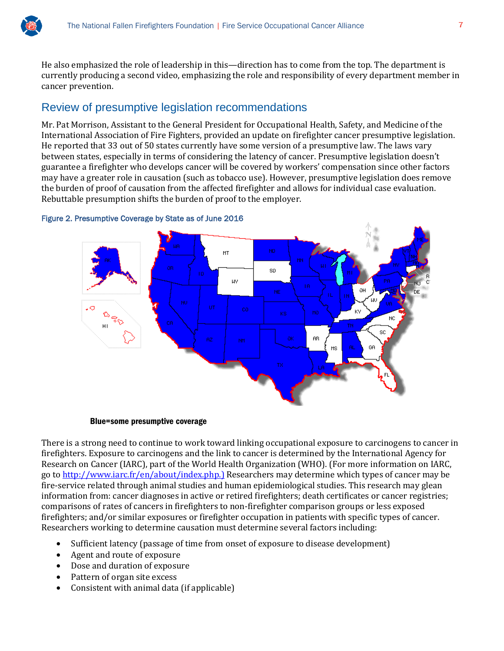He also emphasized the role of leadership in this—direction has to come from the top. The department is currently producing a second video, emphasizing the role and responsibility of every department member in cancer prevention.

### Review of presumptive legislation recommendations

Mr. Pat Morrison, Assistant to the General President for Occupational Health, Safety, and Medicine of the International Association of Fire Fighters, provided an update on firefighter cancer presumptive legislation. He reported that 33 out of 50 states currently have some version of a presumptive law. The laws vary between states, especially in terms of considering the latency of cancer. Presumptive legislation doesn't guarantee a firefighter who develops cancer will be covered by workers' compensation since other factors may have a greater role in causation (such as tobacco use). However, presumptive legislation does remove the burden of proof of causation from the affected firefighter and allows for individual case evaluation. Rebuttable presumption shifts the burden of proof to the employer.



Figure 2. Presumptive Coverage by State as of June 2016

#### Blue=some presumptive coverage

There is a strong need to continue to work toward linking occupational exposure to carcinogens to cancer in firefighters. Exposure to carcinogens and the link to cancer is determined by the International Agency for Research on Cancer (IARC), part of the World Health Organization (WHO). (For more information on IARC, go to [http://www.iarc.fr/en/about/index.php.\)](http://www.iarc.fr/en/about/index.php.)) Researchers may determine which types of cancer may be fire-service related through animal studies and human epidemiological studies. This research may glean information from: cancer diagnoses in active or retired firefighters; death certificates or cancer registries; comparisons of rates of cancers in firefighters to non-firefighter comparison groups or less exposed firefighters; and/or similar exposures or firefighter occupation in patients with specific types of cancer. Researchers working to determine causation must determine several factors including:

- Sufficient latency (passage of time from onset of exposure to disease development)
- Agent and route of exposure
- Dose and duration of exposure
- Pattern of organ site excess
- Consistent with animal data (if applicable)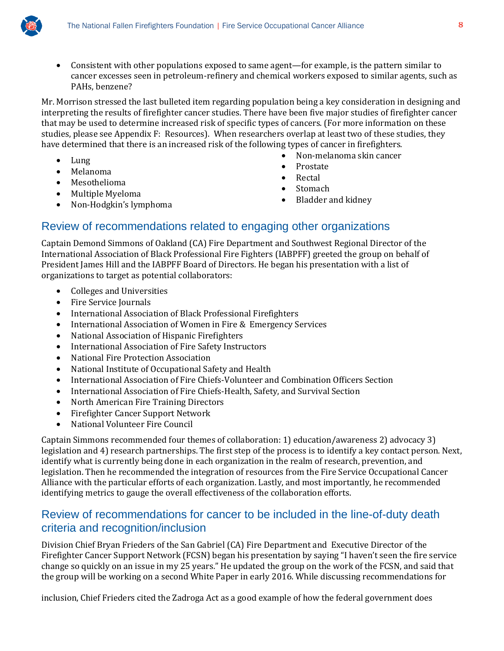

• Consistent with other populations exposed to same agent—for example, is the pattern similar to cancer excesses seen in petroleum-refinery and chemical workers exposed to similar agents, such as PAHs, benzene?

Mr. Morrison stressed the last bulleted item regarding population being a key consideration in designing and interpreting the results of firefighter cancer studies. There have been five major studies of firefighter cancer that may be used to determine increased risk of specific types of cancers. (For more information on these studies, please see Appendix F: Resources). When researchers overlap at least two of these studies, they have determined that there is an increased risk of the following types of cancer in firefighters.<br>Non-melanoma skin cancer

- Lung
- Melanoma
- Mesothelioma
- Multiple Myeloma<br>• Non-Hodgkin's lyn
- Non-Hodgkin's lymphoma
- Non-melanoma skin cancer
- Prostate
- **Rectal**
- Stomach
- Bladder and kidney

### Review of recommendations related to engaging other organizations

Captain Demond Simmons of Oakland (CA) Fire Department and Southwest Regional Director of the International Association of Black Professional Fire Fighters (IABPFF) greeted the group on behalf of President James Hill and the IABPFF Board of Directors. He began his presentation with a list of organizations to target as potential collaborators:

- Colleges and Universities
- Fire Service Journals
- International Association of Black Professional Firefighters
- International Association of Women in Fire & Emergency Services
- National Association of Hispanic Firefighters
- International Association of Fire Safety Instructors
- National Fire Protection Association
- National Institute of Occupational Safety and Health
- International Association of Fire Chiefs-Volunteer and Combination Officers Section
- International Association of Fire Chiefs-Health, Safety, and Survival Section
- North American Fire Training Directors
- Firefighter Cancer Support Network
- National Volunteer Fire Council

Captain Simmons recommended four themes of collaboration: 1) education/awareness 2) advocacy 3) legislation and 4) research partnerships. The first step of the process is to identify a key contact person. Next, identify what is currently being done in each organization in the realm of research, prevention, and legislation. Then he recommended the integration of resources from the Fire Service Occupational Cancer Alliance with the particular efforts of each organization. Lastly, and most importantly, he recommended identifying metrics to gauge the overall effectiveness of the collaboration efforts.

### Review of recommendations for cancer to be included in the line-of-duty death criteria and recognition/inclusion

Division Chief Bryan Frieders of the San Gabriel (CA) Fire Department and Executive Director of the Firefighter Cancer Support Network (FCSN) began his presentation by saying "I haven't seen the fire service change so quickly on an issue in my 25 years." He updated the group on the work of the FCSN, and said that the group will be working on a second White Paper in early 2016. While discussing recommendations for

inclusion, Chief Frieders cited the Zadroga Act as a good example of how the federal government does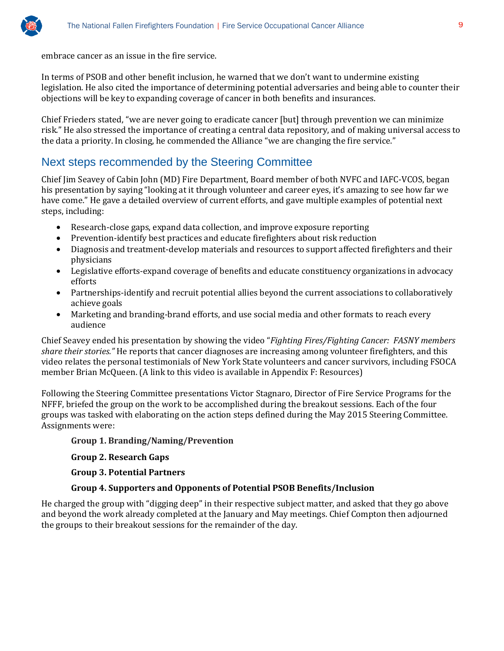

embrace cancer as an issue in the fire service.

In terms of PSOB and other benefit inclusion, he warned that we don't want to undermine existing legislation. He also cited the importance of determining potential adversaries and being able to counter their objections will be key to expanding coverage of cancer in both benefits and insurances.

Chief Frieders stated, "we are never going to eradicate cancer [but] through prevention we can minimize risk." He also stressed the importance of creating a central data repository, and of making universal access to the data a priority. In closing, he commended the Alliance "we are changing the fire service."

### Next steps recommended by the Steering Committee

Chief Jim Seavey of Cabin John (MD) Fire Department, Board member of both NVFC and IAFC-VCOS, began his presentation by saying "looking at it through volunteer and career eyes, it's amazing to see how far we have come." He gave a detailed overview of current efforts, and gave multiple examples of potential next steps, including:

- Research-close gaps, expand data collection, and improve exposure reporting
- Prevention-identify best practices and educate firefighters about risk reduction
- Diagnosis and treatment-develop materials and resources to support affected firefighters and their physicians
- Legislative efforts-expand coverage of benefits and educate constituency organizations in advocacy efforts
- Partnerships-identify and recruit potential allies beyond the current associations to collaboratively achieve goals
- Marketing and branding-brand efforts, and use social media and other formats to reach every audience

Chief Seavey ended his presentation by showing the video "*Fighting Fires/Fighting Cancer: FASNY members share their stories."* He reports that cancer diagnoses are increasing among volunteer firefighters, and this video relates the personal testimonials of New York State volunteers and cancer survivors, including FSOCA member Brian McQueen. (A link to this video is available in Appendix F: Resources)

Following the Steering Committee presentations Victor Stagnaro, Director of Fire Service Programs for the NFFF, briefed the group on the work to be accomplished during the breakout sessions. Each of the four groups was tasked with elaborating on the action steps defined during the May 2015 Steering Committee. Assignments were:

#### **Group 1. Branding/Naming/Prevention**

**Group 2. Research Gaps**

**Group 3. Potential Partners**

#### **Group 4. Supporters and Opponents of Potential PSOB Benefits/Inclusion**

He charged the group with "digging deep" in their respective subject matter, and asked that they go above and beyond the work already completed at the January and May meetings. Chief Compton then adjourned the groups to their breakout sessions for the remainder of the day.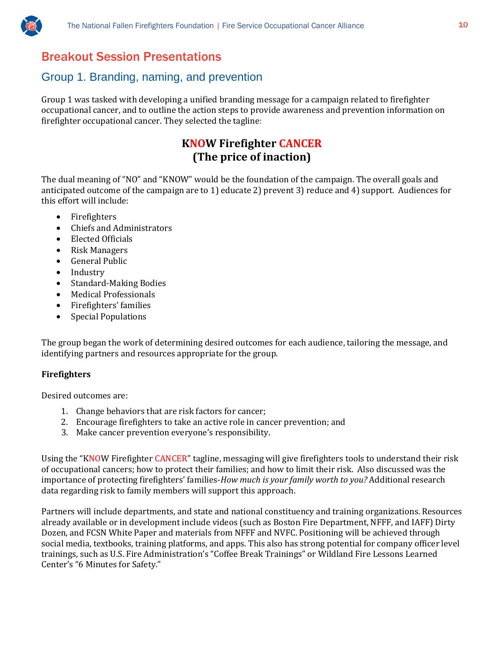

## Breakout Session Presentations

## Group 1. Branding, naming, and prevention

Group 1 was tasked with developing a unified branding message for a campaign related to firefighter occupational cancer, and to outline the action steps to provide awareness and prevention information on firefighter occupational cancer. They selected the tagline:

## **KNOW Firefighter CANCER (The price of inaction)**

The dual meaning of "NO" and "KNOW" would be the foundation of the campaign. The overall goals and anticipated outcome of the campaign are to 1) educate 2) prevent 3) reduce and 4) support. Audiences for this effort will include:

- Firefighters
- Chiefs and Administrators<br>• Flected Officials
- Elected Officials
- Risk Managers
- General Public
- Industry<br>• Standard
- Standard-Making Bodies
- Medical Professionals
- Firefighters' families
- Special Populations

The group began the work of determining desired outcomes for each audience, tailoring the message, and identifying partners and resources appropriate for the group.

#### **Firefighters**

Desired outcomes are:

- 1. Change behaviors that are risk factors for cancer;
- 2. Encourage firefighters to take an active role in cancer prevention; and
- 3. Make cancer prevention everyone's responsibility.

Using the "KNOW Firefighter CANCER" tagline, messaging will give firefighters tools to understand their risk of occupational cancers; how to protect their families; and how to limit their risk. Also discussed was the importance of protecting firefighters' families-*How much is your family worth to you?* Additional research data regarding risk to family members will support this approach.

Partners will include departments, and state and national constituency and training organizations. Resources already available or in development include videos (such as Boston Fire Department, NFFF, and IAFF) Dirty Dozen, and FCSN White Paper and materials from NFFF and NVFC. Positioning will be achieved through social media, textbooks, training platforms, and apps. This also has strong potential for company officer level trainings, such as U.S. Fire Administration's "Coffee Break Trainings" or Wildland Fire Lessons Learned Center's "6 Minutes for Safety."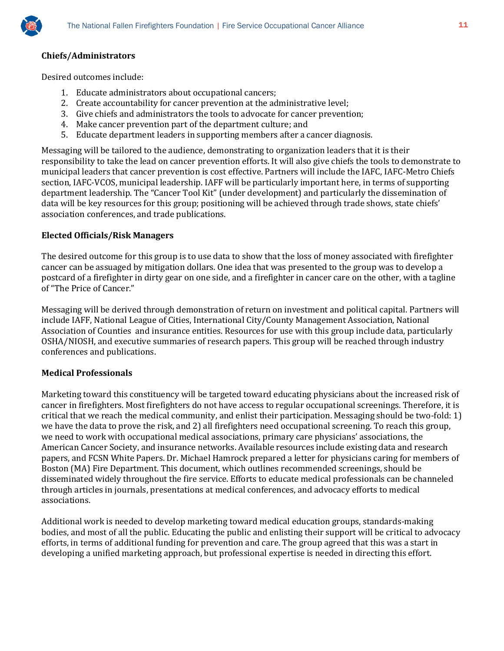

#### **Chiefs/Administrators**

Desired outcomes include:

- 1. Educate administrators about occupational cancers;
- 2. Create accountability for cancer prevention at the administrative level;
- 3. Give chiefs and administrators the tools to advocate for cancer prevention;
- 4. Make cancer prevention part of the department culture; and
- 5. Educate department leaders in supporting members after a cancer diagnosis.

Messaging will be tailored to the audience, demonstrating to organization leaders that it is their responsibility to take the lead on cancer prevention efforts. It will also give chiefs the tools to demonstrate to municipal leaders that cancer prevention is cost effective. Partners will include the IAFC, IAFC-Metro Chiefs section, IAFC-VCOS, municipal leadership. IAFF will be particularly important here, in terms of supporting department leadership. The "Cancer Tool Kit" (under development) and particularly the dissemination of data will be key resources for this group; positioning will be achieved through trade shows, state chiefs' association conferences, and trade publications.

#### **Elected Officials/Risk Managers**

The desired outcome for this group is to use data to show that the loss of money associated with firefighter cancer can be assuaged by mitigation dollars. One idea that was presented to the group was to develop a postcard of a firefighter in dirty gear on one side, and a firefighter in cancer care on the other, with a tagline of "The Price of Cancer."

Messaging will be derived through demonstration of return on investment and political capital. Partners will include IAFF, National League of Cities, International City/County Management Association, National Association of Counties and insurance entities. Resources for use with this group include data, particularly OSHA/NIOSH, and executive summaries of research papers. This group will be reached through industry conferences and publications.

#### **Medical Professionals**

Marketing toward this constituency will be targeted toward educating physicians about the increased risk of cancer in firefighters. Most firefighters do not have access to regular occupational screenings. Therefore, it is critical that we reach the medical community, and enlist their participation. Messaging should be two-fold: 1) we have the data to prove the risk, and 2) all firefighters need occupational screening. To reach this group, we need to work with occupational medical associations, primary care physicians' associations, the American Cancer Society, and insurance networks. Available resources include existing data and research papers, and FCSN White Papers. Dr. Michael Hamrock prepared a letter for physicians caring for members of Boston (MA) Fire Department. This document, which outlines recommended screenings, should be disseminated widely throughout the fire service. Efforts to educate medical professionals can be channeled through articles in journals, presentations at medical conferences, and advocacy efforts to medical associations.

Additional work is needed to develop marketing toward medical education groups, standards-making bodies, and most of all the public. Educating the public and enlisting their support will be critical to advocacy efforts, in terms of additional funding for prevention and care. The group agreed that this was a start in developing a unified marketing approach, but professional expertise is needed in directing this effort.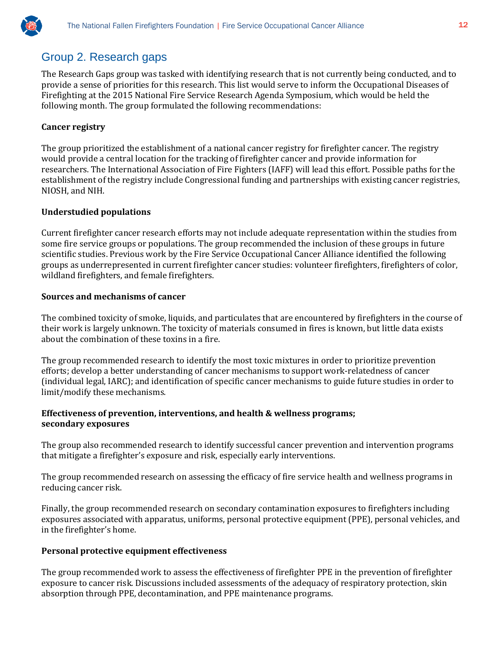

## Group 2. Research gaps

The Research Gaps group was tasked with identifying research that is not currently being conducted, and to provide a sense of priorities for this research. This list would serve to inform the Occupational Diseases of Firefighting at the 2015 National Fire Service Research Agenda Symposium, which would be held the following month. The group formulated the following recommendations:

#### **Cancer registry**

The group prioritized the establishment of a national cancer registry for firefighter cancer. The registry would provide a central location for the tracking of firefighter cancer and provide information for researchers. The International Association of Fire Fighters (IAFF) will lead this effort. Possible paths for the establishment of the registry include Congressional funding and partnerships with existing cancer registries, NIOSH, and NIH.

#### **Understudied populations**

Current firefighter cancer research efforts may not include adequate representation within the studies from some fire service groups or populations. The group recommended the inclusion of these groups in future scientific studies. Previous work by the Fire Service Occupational Cancer Alliance identified the following groups as underrepresented in current firefighter cancer studies: volunteer firefighters, firefighters of color, wildland firefighters, and female firefighters.

#### **Sources and mechanisms of cancer**

The combined toxicity of smoke, liquids, and particulates that are encountered by firefighters in the course of their work is largely unknown. The toxicity of materials consumed in fires is known, but little data exists about the combination of these toxins in a fire.

The group recommended research to identify the most toxic mixtures in order to prioritize prevention efforts; develop a better understanding of cancer mechanisms to support work-relatedness of cancer (individual legal, IARC); and identification of specific cancer mechanisms to guide future studies in order to limit/modify these mechanisms.

#### **Effectiveness of prevention, interventions, and health & wellness programs; secondary exposures**

The group also recommended research to identify successful cancer prevention and intervention programs that mitigate a firefighter's exposure and risk, especially early interventions.

The group recommended research on assessing the efficacy of fire service health and wellness programs in reducing cancer risk.

Finally, the group recommended research on secondary contamination exposures to firefighters including exposures associated with apparatus, uniforms, personal protective equipment (PPE), personal vehicles, and in the firefighter's home.

#### **Personal protective equipment effectiveness**

The group recommended work to assess the effectiveness of firefighter PPE in the prevention of firefighter exposure to cancer risk. Discussions included assessments of the adequacy of respiratory protection, skin absorption through PPE, decontamination, and PPE maintenance programs.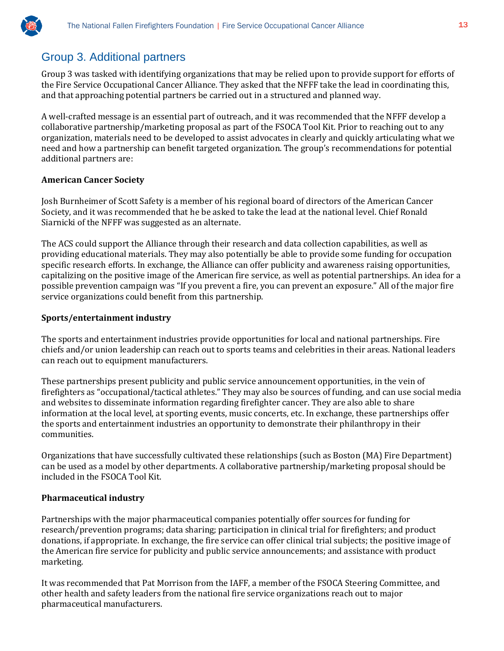

## Group 3. Additional partners

Group 3 was tasked with identifying organizations that may be relied upon to provide support for efforts of the Fire Service Occupational Cancer Alliance. They asked that the NFFF take the lead in coordinating this, and that approaching potential partners be carried out in a structured and planned way.

A well-crafted message is an essential part of outreach, and it was recommended that the NFFF develop a collaborative partnership/marketing proposal as part of the FSOCA Tool Kit. Prior to reaching out to any organization, materials need to be developed to assist advocates in clearly and quickly articulating what we need and how a partnership can benefit targeted organization. The group's recommendations for potential additional partners are:

#### **American Cancer Society**

Josh Burnheimer of Scott Safety is a member of his regional board of directors of the American Cancer Society, and it was recommended that he be asked to take the lead at the national level. Chief Ronald Siarnicki of the NFFF was suggested as an alternate.

The ACS could support the Alliance through their research and data collection capabilities, as well as providing educational materials. They may also potentially be able to provide some funding for occupation specific research efforts. In exchange, the Alliance can offer publicity and awareness raising opportunities, capitalizing on the positive image of the American fire service, as well as potential partnerships. An idea for a possible prevention campaign was "If you prevent a fire, you can prevent an exposure." All of the major fire service organizations could benefit from this partnership.

#### **Sports/entertainment industry**

The sports and entertainment industries provide opportunities for local and national partnerships. Fire chiefs and/or union leadership can reach out to sports teams and celebrities in their areas. National leaders can reach out to equipment manufacturers.

These partnerships present publicity and public service announcement opportunities, in the vein of firefighters as "occupational/tactical athletes." They may also be sources of funding, and can use social media and websites to disseminate information regarding firefighter cancer. They are also able to share information at the local level, at sporting events, music concerts, etc. In exchange, these partnerships offer the sports and entertainment industries an opportunity to demonstrate their philanthropy in their communities.

Organizations that have successfully cultivated these relationships (such as Boston (MA) Fire Department) can be used as a model by other departments. A collaborative partnership/marketing proposal should be included in the FSOCA Tool Kit.

#### **Pharmaceutical industry**

Partnerships with the major pharmaceutical companies potentially offer sources for funding for research/prevention programs; data sharing; participation in clinical trial for firefighters; and product donations, if appropriate. In exchange, the fire service can offer clinical trial subjects; the positive image of the American fire service for publicity and public service announcements; and assistance with product marketing.

It was recommended that Pat Morrison from the IAFF, a member of the FSOCA Steering Committee, and other health and safety leaders from the national fire service organizations reach out to major pharmaceutical manufacturers.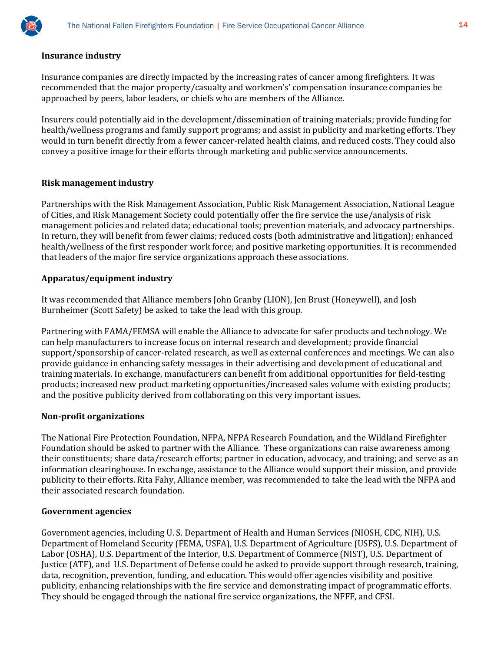

#### **Insurance industry**

Insurance companies are directly impacted by the increasing rates of cancer among firefighters. It was recommended that the major property/casualty and workmen's' compensation insurance companies be approached by peers, labor leaders, or chiefs who are members of the Alliance.

Insurers could potentially aid in the development/dissemination of training materials; provide funding for health/wellness programs and family support programs; and assist in publicity and marketing efforts. They would in turn benefit directly from a fewer cancer-related health claims, and reduced costs. They could also convey a positive image for their efforts through marketing and public service announcements.

#### **Risk management industry**

Partnerships with the Risk Management Association, Public Risk Management Association, National League of Cities, and Risk Management Society could potentially offer the fire service the use/analysis of risk management policies and related data; educational tools; prevention materials, and advocacy partnerships. In return, they will benefit from fewer claims; reduced costs (both administrative and litigation); enhanced health/wellness of the first responder work force; and positive marketing opportunities. It is recommended that leaders of the major fire service organizations approach these associations.

#### **Apparatus/equipment industry**

It was recommended that Alliance members John Granby (LION), Jen Brust (Honeywell), and Josh Burnheimer (Scott Safety) be asked to take the lead with this group.

Partnering with FAMA/FEMSA will enable the Alliance to advocate for safer products and technology. We can help manufacturers to increase focus on internal research and development; provide financial support/sponsorship of cancer-related research, as well as external conferences and meetings. We can also provide guidance in enhancing safety messages in their advertising and development of educational and training materials. In exchange, manufacturers can benefit from additional opportunities for field-testing products; increased new product marketing opportunities/increased sales volume with existing products; and the positive publicity derived from collaborating on this very important issues.

#### **Non-profit organizations**

The National Fire Protection Foundation, NFPA, NFPA Research Foundation, and the Wildland Firefighter Foundation should be asked to partner with the Alliance. These organizations can raise awareness among their constituents; share data/research efforts; partner in education, advocacy, and training; and serve as an information clearinghouse. In exchange, assistance to the Alliance would support their mission, and provide publicity to their efforts. Rita Fahy, Alliance member, was recommended to take the lead with the NFPA and their associated research foundation.

#### **Government agencies**

Government agencies, including U. S. Department of Health and Human Services (NIOSH, CDC, NIH), U.S. Department of Homeland Security (FEMA, USFA), U.S. Department of Agriculture (USFS), U.S. Department of Labor (OSHA), U.S. Department of the Interior, U.S. Department of Commerce (NIST), U.S. Department of Justice (ATF), and U.S. Department of Defense could be asked to provide support through research, training, data, recognition, prevention, funding, and education. This would offer agencies visibility and positive publicity, enhancing relationships with the fire service and demonstrating impact of programmatic efforts. They should be engaged through the national fire service organizations, the NFFF, and CFSI.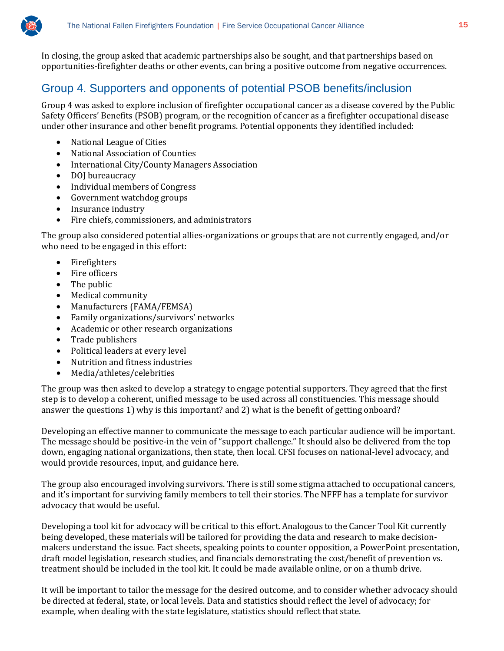In closing, the group asked that academic partnerships also be sought, and that partnerships based on opportunities-firefighter deaths or other events, can bring a positive outcome from negative occurrences.

## Group 4. Supporters and opponents of potential PSOB benefits/inclusion

Group 4 was asked to explore inclusion of firefighter occupational cancer as a disease covered by the Public Safety Officers' Benefits (PSOB) program, or the recognition of cancer as a firefighter occupational disease under other insurance and other benefit programs. Potential opponents they identified included:

- National League of Cities
- National Association of Counties
- International City/County Managers Association
- DOJ bureaucracy<br>• Individual membe
- Individual members of Congress
- Government watchdog groups
- Insurance industry
- Fire chiefs, commissioners, and administrators

The group also considered potential allies-organizations or groups that are not currently engaged, and/or who need to be engaged in this effort:

- Firefighters
- Fire officers
- The public
- Medical community
- Manufacturers (FAMA/FEMSA)
- Family organizations/survivors' networks
- Academic or other research organizations
- Trade publishers
- Political leaders at every level
- Nutrition and fitness industries
- Media/athletes/celebrities

The group was then asked to develop a strategy to engage potential supporters. They agreed that the first step is to develop a coherent, unified message to be used across all constituencies. This message should answer the questions 1) why is this important? and 2) what is the benefit of getting onboard?

Developing an effective manner to communicate the message to each particular audience will be important. The message should be positive-in the vein of "support challenge." It should also be delivered from the top down, engaging national organizations, then state, then local. CFSI focuses on national-level advocacy, and would provide resources, input, and guidance here.

The group also encouraged involving survivors. There is still some stigma attached to occupational cancers, and it's important for surviving family members to tell their stories. The NFFF has a template for survivor advocacy that would be useful.

Developing a tool kit for advocacy will be critical to this effort. Analogous to the Cancer Tool Kit currently being developed, these materials will be tailored for providing the data and research to make decisionmakers understand the issue. Fact sheets, speaking points to counter opposition, a PowerPoint presentation, draft model legislation, research studies, and financials demonstrating the cost/benefit of prevention vs. treatment should be included in the tool kit. It could be made available online, or on a thumb drive.

It will be important to tailor the message for the desired outcome, and to consider whether advocacy should be directed at federal, state, or local levels. Data and statistics should reflect the level of advocacy; for example, when dealing with the state legislature, statistics should reflect that state.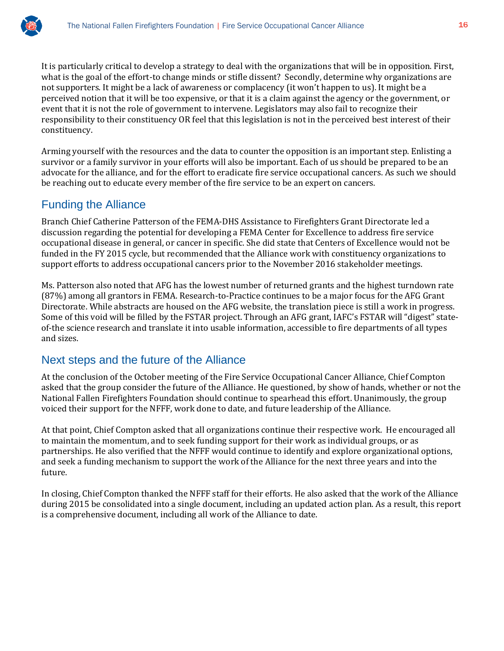

It is particularly critical to develop a strategy to deal with the organizations that will be in opposition. First, what is the goal of the effort-to change minds or stifle dissent? Secondly, determine why organizations are not supporters. It might be a lack of awareness or complacency (it won't happen to us). It might be a perceived notion that it will be too expensive, or that it is a claim against the agency or the government, or event that it is not the role of government to intervene. Legislators may also fail to recognize their responsibility to their constituency OR feel that this legislation is not in the perceived best interest of their constituency.

Arming yourself with the resources and the data to counter the opposition is an important step. Enlisting a survivor or a family survivor in your efforts will also be important. Each of us should be prepared to be an advocate for the alliance, and for the effort to eradicate fire service occupational cancers. As such we should be reaching out to educate every member of the fire service to be an expert on cancers.

### Funding the Alliance

Branch Chief Catherine Patterson of the FEMA-DHS Assistance to Firefighters Grant Directorate led a discussion regarding the potential for developing a FEMA Center for Excellence to address fire service occupational disease in general, or cancer in specific. She did state that Centers of Excellence would not be funded in the FY 2015 cycle, but recommended that the Alliance work with constituency organizations to support efforts to address occupational cancers prior to the November 2016 stakeholder meetings.

Ms. Patterson also noted that AFG has the lowest number of returned grants and the highest turndown rate (87%) among all grantors in FEMA. Research-to-Practice continues to be a major focus for the AFG Grant Directorate. While abstracts are housed on the AFG website, the translation piece is still a work in progress. Some of this void will be filled by the FSTAR project. Through an AFG grant, IAFC's FSTAR will "digest" stateof-the science research and translate it into usable information, accessible to fire departments of all types and sizes.

#### Next steps and the future of the Alliance

At the conclusion of the October meeting of the Fire Service Occupational Cancer Alliance, Chief Compton asked that the group consider the future of the Alliance. He questioned, by show of hands, whether or not the National Fallen Firefighters Foundation should continue to spearhead this effort. Unanimously, the group voiced their support for the NFFF, work done to date, and future leadership of the Alliance.

At that point, Chief Compton asked that all organizations continue their respective work. He encouraged all to maintain the momentum, and to seek funding support for their work as individual groups, or as partnerships. He also verified that the NFFF would continue to identify and explore organizational options, and seek a funding mechanism to support the work of the Alliance for the next three years and into the future.

In closing, Chief Compton thanked the NFFF staff for their efforts. He also asked that the work of the Alliance during 2015 be consolidated into a single document, including an updated action plan. As a result, this report is a comprehensive document, including all work of the Alliance to date.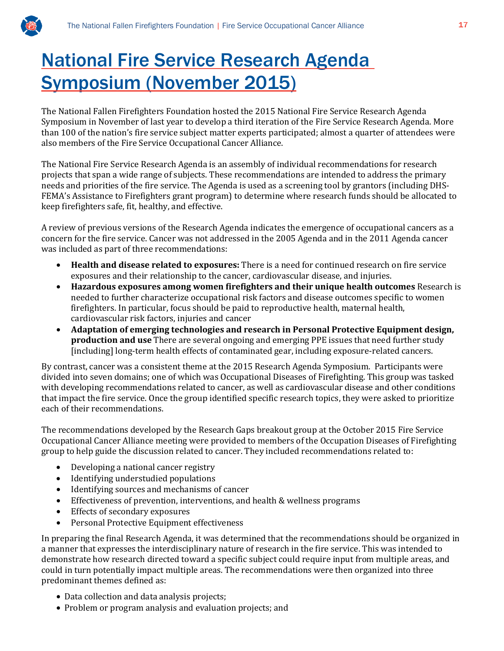

## National Fire Service Research Agenda Symposium (November 2015)

The National Fallen Firefighters Foundation hosted the 2015 National Fire Service Research Agenda Symposium in November of last year to develop a third iteration of the Fire Service Research Agenda. More than 100 of the nation's fire service subject matter experts participated; almost a quarter of attendees were also members of the Fire Service Occupational Cancer Alliance.

The National Fire Service Research Agenda is an assembly of individual recommendations for research projects that span a wide range of subjects. These recommendations are intended to address the primary needs and priorities of the fire service. The Agenda is used as a screening tool by grantors (including DHS-FEMA's Assistance to Firefighters grant program) to determine where research funds should be allocated to keep firefighters safe, fit, healthy, and effective.

A review of previous versions of the Research Agenda indicates the emergence of occupational cancers as a concern for the fire service. Cancer was not addressed in the 2005 Agenda and in the 2011 Agenda cancer was included as part of three recommendations:

- **Health and disease related to exposures:** There is a need for continued research on fire service exposures and their relationship to the cancer, cardiovascular disease, and injuries.
- **Hazardous exposures among women firefighters and their unique health outcomes** Research is needed to further characterize occupational risk factors and disease outcomes specific to women firefighters. In particular, focus should be paid to reproductive health, maternal health, cardiovascular risk factors, injuries and cancer
- **Adaptation of emerging technologies and research in Personal Protective Equipment design, production and use** There are several ongoing and emerging PPE issues that need further study [including] long-term health effects of contaminated gear, including exposure-related cancers.

By contrast, cancer was a consistent theme at the 2015 Research Agenda Symposium. Participants were divided into seven domains; one of which was Occupational Diseases of Firefighting. This group was tasked with developing recommendations related to cancer, as well as cardiovascular disease and other conditions that impact the fire service. Once the group identified specific research topics, they were asked to prioritize each of their recommendations.

The recommendations developed by the Research Gaps breakout group at the October 2015 Fire Service Occupational Cancer Alliance meeting were provided to members of the Occupation Diseases of Firefighting group to help guide the discussion related to cancer. They included recommendations related to:

- Developing a national cancer registry
- Identifying understudied populations
- Identifying sources and mechanisms of cancer
- Effectiveness of prevention, interventions, and health & wellness programs
- Effects of secondary exposures
- Personal Protective Equipment effectiveness

In preparing the final Research Agenda, it was determined that the recommendations should be organized in a manner that expresses the interdisciplinary nature of research in the fire service. This was intended to demonstrate how research directed toward a specific subject could require input from multiple areas, and could in turn potentially impact multiple areas. The recommendations were then organized into three predominant themes defined as:

- Data collection and data analysis projects;
- Problem or program analysis and evaluation projects; and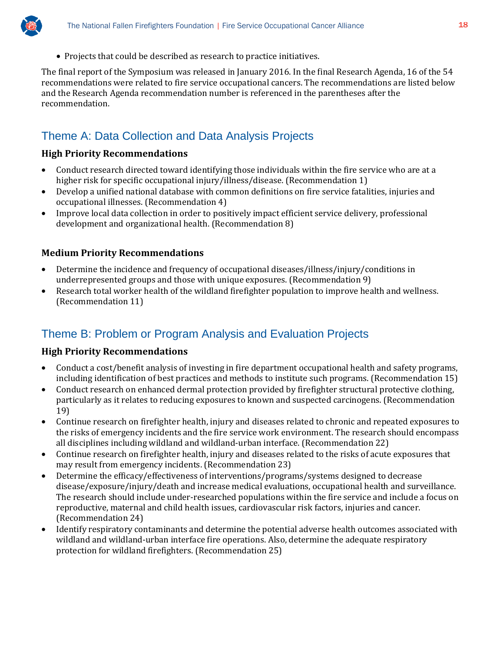

• Projects that could be described as research to practice initiatives.

The final report of the Symposium was released in January 2016. In the final Research Agenda, 16 of the 54 recommendations were related to fire service occupational cancers. The recommendations are listed below and the Research Agenda recommendation number is referenced in the parentheses after the recommendation.

## Theme A: Data Collection and Data Analysis Projects

#### **High Priority Recommendations**

- Conduct research directed toward identifying those individuals within the fire service who are at a higher risk for specific occupational injury/illness/disease. (Recommendation 1)
- Develop a unified national database with common definitions on fire service fatalities, injuries and occupational illnesses. (Recommendation 4)
- Improve local data collection in order to positively impact efficient service delivery, professional development and organizational health. (Recommendation 8)

#### **Medium Priority Recommendations**

- Determine the incidence and frequency of occupational diseases/illness/injury/conditions in underrepresented groups and those with unique exposures. (Recommendation 9)
- Research total worker health of the wildland firefighter population to improve health and wellness. (Recommendation 11)

## Theme B: Problem or Program Analysis and Evaluation Projects

#### **High Priority Recommendations**

- Conduct a cost/benefit analysis of investing in fire department occupational health and safety programs, including identification of best practices and methods to institute such programs. (Recommendation 15)
- Conduct research on enhanced dermal protection provided by firefighter structural protective clothing, particularly as it relates to reducing exposures to known and suspected carcinogens. (Recommendation 19)
- Continue research on firefighter health, injury and diseases related to chronic and repeated exposures to the risks of emergency incidents and the fire service work environment. The research should encompass all disciplines including wildland and wildland-urban interface. (Recommendation 22)
- Continue research on firefighter health, injury and diseases related to the risks of acute exposures that may result from emergency incidents. (Recommendation 23)
- Determine the efficacy/effectiveness of interventions/programs/systems designed to decrease disease/exposure/injury/death and increase medical evaluations, occupational health and surveillance. The research should include under-researched populations within the fire service and include a focus on reproductive, maternal and child health issues, cardiovascular risk factors, injuries and cancer. (Recommendation 24)
- Identify respiratory contaminants and determine the potential adverse health outcomes associated with wildland and wildland-urban interface fire operations. Also, determine the adequate respiratory protection for wildland firefighters. (Recommendation 25)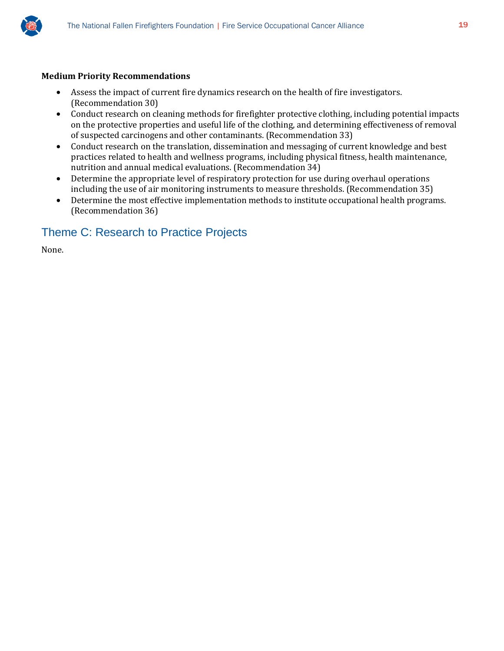

#### **Medium Priority Recommendations**

- Assess the impact of current fire dynamics research on the health of fire investigators. (Recommendation 30)
- Conduct research on cleaning methods for firefighter protective clothing, including potential impacts on the protective properties and useful life of the clothing, and determining effectiveness of removal of suspected carcinogens and other contaminants. (Recommendation 33)
- Conduct research on the translation, dissemination and messaging of current knowledge and best practices related to health and wellness programs, including physical fitness, health maintenance, nutrition and annual medical evaluations. (Recommendation 34)
- Determine the appropriate level of respiratory protection for use during overhaul operations including the use of air monitoring instruments to measure thresholds. (Recommendation 35)
- Determine the most effective implementation methods to institute occupational health programs. (Recommendation 36)

## Theme C: Research to Practice Projects

None.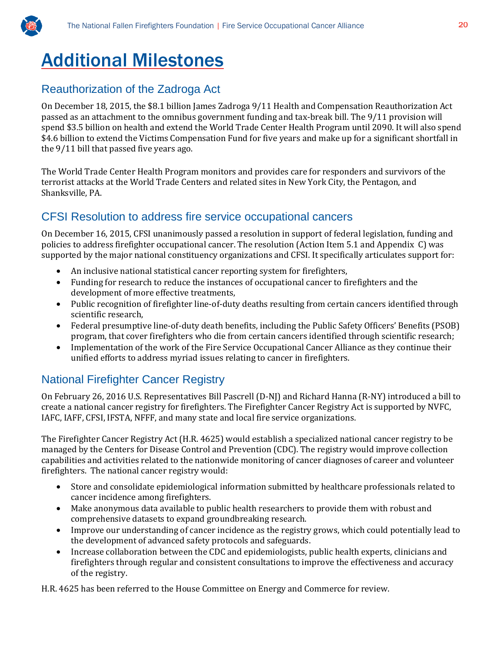

## Additional Milestones

## Reauthorization of the Zadroga Act

On December 18, 2015, the \$8.1 billion James Zadroga 9/11 Health and Compensation Reauthorization Act passed as an attachment to the omnibus government funding and tax-break bill. The 9/11 provision will spend \$3.5 billion on health and extend the World Trade Center Health Program until 2090. It will also spend \$4.6 billion to extend the Victims Compensation Fund for five years and make up for a significant shortfall in the 9/11 bill that passed five years ago.

The World Trade Center Health Program monitors and provides care for responders and survivors of the terrorist attacks at the World Trade Centers and related sites in New York City, the Pentagon, and Shanksville, PA.

#### CFSI Resolution to address fire service occupational cancers

On December 16, 2015, CFSI unanimously passed a resolution in support of federal legislation, funding and policies to address firefighter occupational cancer. The resolution (Action Item 5.1 and Appendix C) was supported by the major national constituency organizations and CFSI. It specifically articulates support for:

- An inclusive national statistical cancer reporting system for firefighters,
- Funding for research to reduce the instances of occupational cancer to firefighters and the development of more effective treatments,
- Public recognition of firefighter line-of-duty deaths resulting from certain cancers identified through scientific research,
- Federal presumptive line-of-duty death benefits, including the Public Safety Officers' Benefits (PSOB) program, that cover firefighters who die from certain cancers identified through scientific research;
- Implementation of the work of the Fire Service Occupational Cancer Alliance as they continue their unified efforts to address myriad issues relating to cancer in firefighters.

## National Firefighter Cancer Registry

On February 26, 2016 U.S. Representatives Bill Pascrell (D-NJ) and Richard Hanna (R-NY) introduced a bill to create a national cancer registry for firefighters. The Firefighter Cancer Registry Act is supported by NVFC, IAFC, IAFF, CFSI, IFSTA, NFFF, and many state and local fire service organizations.

The Firefighter Cancer Registry Act (H.R. 4625) would establish a specialized national cancer registry to be managed by the Centers for Disease Control and Prevention (CDC). The registry would improve collection capabilities and activities related to the nationwide monitoring of cancer diagnoses of career and volunteer firefighters. The national cancer registry would:

- Store and consolidate epidemiological information submitted by healthcare professionals related to cancer incidence among firefighters.
- Make anonymous data available to public health researchers to provide them with robust and comprehensive datasets to expand groundbreaking research.
- Improve our understanding of cancer incidence as the registry grows, which could potentially lead to the development of advanced safety protocols and safeguards.
- Increase collaboration between the CDC and epidemiologists, public health experts, clinicians and firefighters through regular and consistent consultations to improve the effectiveness and accuracy of the registry.

H.R. 4625 has been referred to the House Committee on Energy and Commerce for review.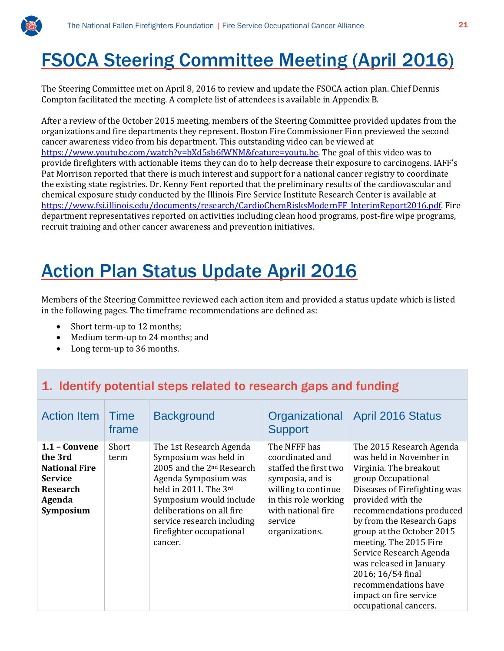

## FSOCA Steering Committee Meeting (April 2016)

The Steering Committee met on April 8, 2016 to review and update the FSOCA action plan. Chief Dennis Compton facilitated the meeting. A complete list of attendees is available in Appendix B.

After a review of the October 2015 meeting, members of the Steering Committee provided updates from the organizations and fire departments they represent. Boston Fire Commissioner Finn previewed the second cancer awareness video from his department. This outstanding video can be viewed at [https://www.youtube.com/watch?v=bXd5sb6fWNM&feature=youtu.be.](https://www.youtube.com/watch?v=bXd5sb6fWNM&feature=youtu.be) The goal of this video was to provide firefighters with actionable items they can do to help decrease their exposure to carcinogens. IAFF's Pat Morrison reported that there is much interest and support for a national cancer registry to coordinate the existing state registries. Dr. Kenny Fent reported that the preliminary results of the cardiovascular and chemical exposure study conducted by the Illinois Fire Service Institute Research Center is available at [https://www.fsi.illinois.edu/documents/research/CardioChemRisksModernFF\\_InterimReport2016.pdf.](https://www.fsi.illinois.edu/documents/research/CardioChemRisksModernFF_InterimReport2016.pdf) Fire department representatives reported on activities including clean hood programs, post-fire wipe programs, recruit training and other cancer awareness and prevention initiatives.

## Action Plan Status Update April 2016

Members of the Steering Committee reviewed each action item and provided a status update which is listed in the following pages. The timeframe recommendations are defined as:

- Short term-up to 12 months;
- Medium term-up to 24 months; and
- Long term-up to 36 months.

## 1. Identify potential steps related to research gaps and funding

| <b>Action Item</b>                                                                                                    | Time<br>frame | <b>Background</b>                                                                                                                                                                                                                                                       | Organizational<br><b>Support</b>                                                                                                                                               | <b>April 2016 Status</b>                                                                                                                                                                                                                                                                                                                                                                                                       |
|-----------------------------------------------------------------------------------------------------------------------|---------------|-------------------------------------------------------------------------------------------------------------------------------------------------------------------------------------------------------------------------------------------------------------------------|--------------------------------------------------------------------------------------------------------------------------------------------------------------------------------|--------------------------------------------------------------------------------------------------------------------------------------------------------------------------------------------------------------------------------------------------------------------------------------------------------------------------------------------------------------------------------------------------------------------------------|
| $1.1 - Convene$<br>the 3rd<br><b>National Fire</b><br><b>Service</b><br><b>Research</b><br>Agenda<br><b>Symposium</b> | Short<br>term | The 1st Research Agenda<br>Symposium was held in<br>2005 and the 2 <sup>nd</sup> Research<br>Agenda Symposium was<br>held in 2011. The 3rd<br>Symposium would include<br>deliberations on all fire<br>service research including<br>firefighter occupational<br>cancer. | The NFFF has<br>coordinated and<br>staffed the first two<br>symposia, and is<br>willing to continue<br>in this role working<br>with national fire<br>service<br>organizations. | The 2015 Research Agenda<br>was held in November in<br>Virginia. The breakout<br>group Occupational<br>Diseases of Firefighting was<br>provided with the<br>recommendations produced<br>by from the Research Gaps<br>group at the October 2015<br>meeting. The 2015 Fire<br>Service Research Agenda<br>was released in January<br>2016; 16/54 final<br>recommendations have<br>impact on fire service<br>occupational cancers. |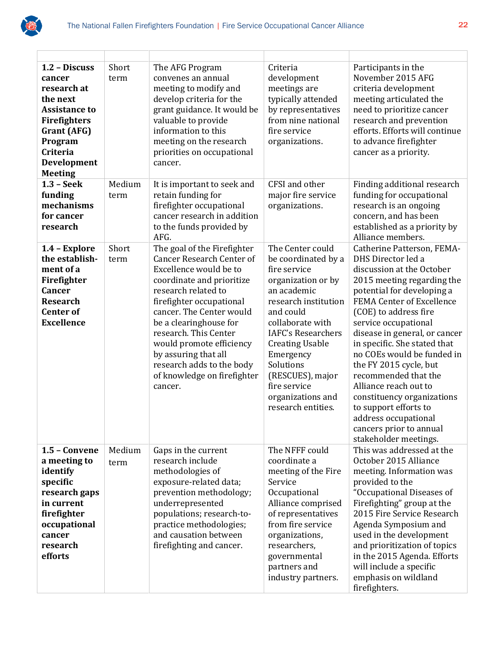

| 1.2 - Discuss<br>cancer<br>research at<br>the next<br><b>Assistance to</b><br><b>Firefighters</b><br>Grant (AFG)<br>Program<br>Criteria<br>Development<br><b>Meeting</b> | Short<br>term  | The AFG Program<br>convenes an annual<br>meeting to modify and<br>develop criteria for the<br>grant guidance. It would be<br>valuable to provide<br>information to this<br>meeting on the research<br>priorities on occupational<br>cancer.                                                                                                                                         | Criteria<br>development<br>meetings are<br>typically attended<br>by representatives<br>from nine national<br>fire service<br>organizations.                                                                                                                                                                           | Participants in the<br>November 2015 AFG<br>criteria development<br>meeting articulated the<br>need to prioritize cancer<br>research and prevention<br>efforts. Efforts will continue<br>to advance firefighter<br>cancer as a priority.                                                                                                                                                                                                                                                                                             |
|--------------------------------------------------------------------------------------------------------------------------------------------------------------------------|----------------|-------------------------------------------------------------------------------------------------------------------------------------------------------------------------------------------------------------------------------------------------------------------------------------------------------------------------------------------------------------------------------------|-----------------------------------------------------------------------------------------------------------------------------------------------------------------------------------------------------------------------------------------------------------------------------------------------------------------------|--------------------------------------------------------------------------------------------------------------------------------------------------------------------------------------------------------------------------------------------------------------------------------------------------------------------------------------------------------------------------------------------------------------------------------------------------------------------------------------------------------------------------------------|
| $1.3 - Seek$<br>funding<br>mechanisms<br>for cancer<br>research                                                                                                          | Medium<br>term | It is important to seek and<br>retain funding for<br>firefighter occupational<br>cancer research in addition<br>to the funds provided by<br>AFG.                                                                                                                                                                                                                                    | CFSI and other<br>major fire service<br>organizations.                                                                                                                                                                                                                                                                | Finding additional research<br>funding for occupational<br>research is an ongoing<br>concern, and has been<br>established as a priority by<br>Alliance members.                                                                                                                                                                                                                                                                                                                                                                      |
| 1.4 - Explore<br>the establish-<br>ment of a<br>Firefighter<br>Cancer<br><b>Research</b><br><b>Center of</b><br><b>Excellence</b>                                        | Short<br>term  | The goal of the Firefighter<br><b>Cancer Research Center of</b><br>Excellence would be to<br>coordinate and prioritize<br>research related to<br>firefighter occupational<br>cancer. The Center would<br>be a clearinghouse for<br>research. This Center<br>would promote efficiency<br>by assuring that all<br>research adds to the body<br>of knowledge on firefighter<br>cancer. | The Center could<br>be coordinated by a<br>fire service<br>organization or by<br>an academic<br>research institution<br>and could<br>collaborate with<br><b>IAFC's Researchers</b><br><b>Creating Usable</b><br>Emergency<br>Solutions<br>(RESCUES), major<br>fire service<br>organizations and<br>research entities. | Catherine Patterson, FEMA-<br>DHS Director led a<br>discussion at the October<br>2015 meeting regarding the<br>potential for developing a<br>FEMA Center of Excellence<br>(COE) to address fire<br>service occupational<br>disease in general, or cancer<br>in specific. She stated that<br>no COEs would be funded in<br>the FY 2015 cycle, but<br>recommended that the<br>Alliance reach out to<br>constituency organizations<br>to support efforts to<br>address occupational<br>cancers prior to annual<br>stakeholder meetings. |
| 1.5 - Convene<br>a meeting to<br>identify<br>specific<br>research gaps<br>in current<br>firefighter<br>occupational<br>cancer<br>research<br>efforts                     | Medium<br>term | Gaps in the current<br>research include<br>methodologies of<br>exposure-related data;<br>prevention methodology;<br>underrepresented<br>populations; research-to-<br>practice methodologies;<br>and causation between<br>firefighting and cancer.                                                                                                                                   | The NFFF could<br>coordinate a<br>meeting of the Fire<br>Service<br>Occupational<br>Alliance comprised<br>of representatives<br>from fire service<br>organizations,<br>researchers,<br>governmental<br>partners and<br>industry partners.                                                                             | This was addressed at the<br>October 2015 Alliance<br>meeting. Information was<br>provided to the<br>"Occupational Diseases of<br>Firefighting" group at the<br>2015 Fire Service Research<br>Agenda Symposium and<br>used in the development<br>and prioritization of topics<br>in the 2015 Agenda. Efforts<br>will include a specific<br>emphasis on wildland<br>firefighters.                                                                                                                                                     |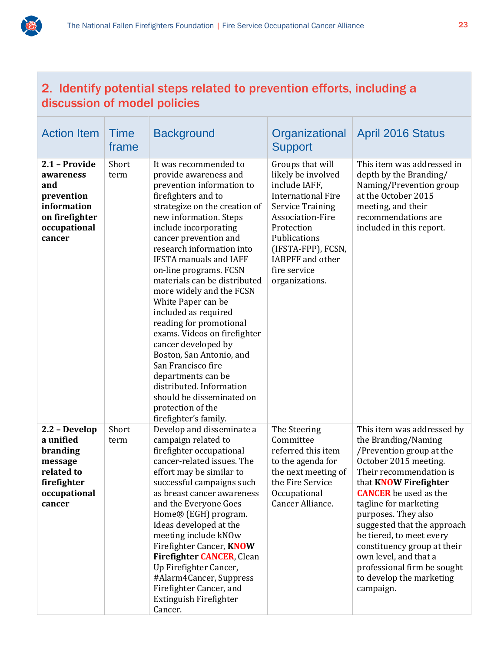

| 2. Identify potential steps related to prevention efforts, including a<br>discussion of model policies     |                      |                                                                                                                                                                                                                                                                                                                                                                                                                                                                                                                                                                                                                                                                                    |                                                                                                                                                                                                                                                      |                                                                                                                                                                                                                                                                                                                                                                                                                                              |  |
|------------------------------------------------------------------------------------------------------------|----------------------|------------------------------------------------------------------------------------------------------------------------------------------------------------------------------------------------------------------------------------------------------------------------------------------------------------------------------------------------------------------------------------------------------------------------------------------------------------------------------------------------------------------------------------------------------------------------------------------------------------------------------------------------------------------------------------|------------------------------------------------------------------------------------------------------------------------------------------------------------------------------------------------------------------------------------------------------|----------------------------------------------------------------------------------------------------------------------------------------------------------------------------------------------------------------------------------------------------------------------------------------------------------------------------------------------------------------------------------------------------------------------------------------------|--|
| <b>Action Item</b>                                                                                         | <b>Time</b><br>frame | <b>Background</b>                                                                                                                                                                                                                                                                                                                                                                                                                                                                                                                                                                                                                                                                  | Organizational<br><b>Support</b>                                                                                                                                                                                                                     | <b>April 2016 Status</b>                                                                                                                                                                                                                                                                                                                                                                                                                     |  |
| 2.1 - Provide<br>awareness<br>and<br>prevention<br>information<br>on firefighter<br>occupational<br>cancer | Short<br>term        | It was recommended to<br>provide awareness and<br>prevention information to<br>firefighters and to<br>strategize on the creation of<br>new information. Steps<br>include incorporating<br>cancer prevention and<br>research information into<br><b>IFSTA</b> manuals and IAFF<br>on-line programs. FCSN<br>materials can be distributed<br>more widely and the FCSN<br>White Paper can be<br>included as required<br>reading for promotional<br>exams. Videos on firefighter<br>cancer developed by<br>Boston, San Antonio, and<br>San Francisco fire<br>departments can be<br>distributed. Information<br>should be disseminated on<br>protection of the<br>firefighter's family. | Groups that will<br>likely be involved<br>include IAFF,<br><b>International Fire</b><br><b>Service Training</b><br>Association-Fire<br>Protection<br>Publications<br>(IFSTA-FPP), FCSN,<br><b>IABPFF</b> and other<br>fire service<br>organizations. | This item was addressed in<br>depth by the Branding/<br>Naming/Prevention group<br>at the October 2015<br>meeting, and their<br>recommendations are<br>included in this report.                                                                                                                                                                                                                                                              |  |
| 2.2 - Develop<br>a unified<br>branding<br>message<br>related to<br>firefighter<br>occupational<br>cancer   | Short<br>term        | Develop and disseminate a<br>campaign related to<br>firefighter occupational<br>cancer-related issues. The<br>effort may be similar to<br>successful campaigns such<br>as breast cancer awareness<br>and the Everyone Goes<br>Home® (EGH) program.<br>Ideas developed at the<br>meeting include kNOw<br>Firefighter Cancer, KNOW<br>Firefighter CANCER, Clean<br>Up Firefighter Cancer,<br>#Alarm4Cancer, Suppress<br>Firefighter Cancer, and<br>Extinguish Firefighter                                                                                                                                                                                                            | The Steering<br>Committee<br>referred this item<br>to the agenda for<br>the next meeting of<br>the Fire Service<br>Occupational<br>Cancer Alliance.                                                                                                  | This item was addressed by<br>the Branding/Naming<br>/Prevention group at the<br>October 2015 meeting.<br>Their recommendation is<br>that <b>KNOW</b> Firefighter<br><b>CANCER</b> be used as the<br>tagline for marketing<br>purposes. They also<br>suggested that the approach<br>be tiered, to meet every<br>constituency group at their<br>own level, and that a<br>professional firm be sought<br>to develop the marketing<br>campaign. |  |

Cancer.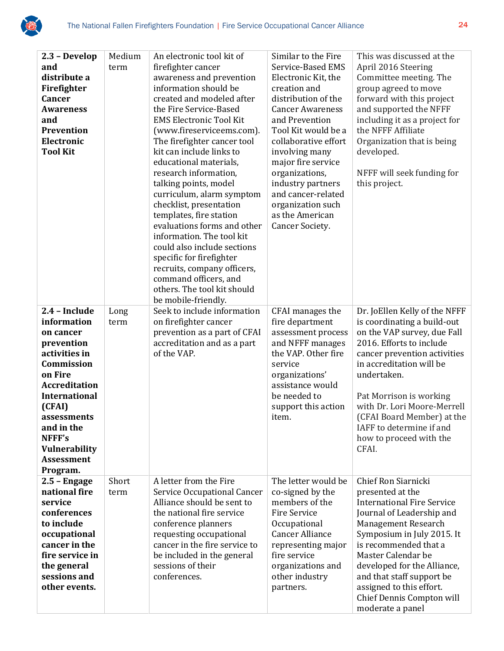

| 2.3 - Develop<br>and<br>distribute a<br>Firefighter<br><b>Cancer</b><br><b>Awareness</b><br>and<br>Prevention<br>Electronic<br><b>Tool Kit</b>                                                                                                       | Medium<br>term | An electronic tool kit of<br>firefighter cancer<br>awareness and prevention<br>information should be<br>created and modeled after<br>the Fire Service-Based<br><b>EMS Electronic Tool Kit</b><br>(www.fireserviceems.com).<br>The firefighter cancer tool<br>kit can include links to<br>educational materials,<br>research information,<br>talking points, model<br>curriculum, alarm symptom<br>checklist, presentation<br>templates, fire station<br>evaluations forms and other<br>information. The tool kit<br>could also include sections<br>specific for firefighter<br>recruits, company officers,<br>command officers, and<br>others. The tool kit should<br>be mobile-friendly. | Similar to the Fire<br>Service-Based EMS<br>Electronic Kit, the<br>creation and<br>distribution of the<br><b>Cancer Awareness</b><br>and Prevention<br>Tool Kit would be a<br>collaborative effort<br>involving many<br>major fire service<br>organizations,<br>industry partners<br>and cancer-related<br>organization such<br>as the American<br>Cancer Society. | This was discussed at the<br>April 2016 Steering<br>Committee meeting. The<br>group agreed to move<br>forward with this project<br>and supported the NFFF<br>including it as a project for<br>the NFFF Affiliate<br>Organization that is being<br>developed.<br>NFFF will seek funding for<br>this project.                                                |
|------------------------------------------------------------------------------------------------------------------------------------------------------------------------------------------------------------------------------------------------------|----------------|-------------------------------------------------------------------------------------------------------------------------------------------------------------------------------------------------------------------------------------------------------------------------------------------------------------------------------------------------------------------------------------------------------------------------------------------------------------------------------------------------------------------------------------------------------------------------------------------------------------------------------------------------------------------------------------------|--------------------------------------------------------------------------------------------------------------------------------------------------------------------------------------------------------------------------------------------------------------------------------------------------------------------------------------------------------------------|------------------------------------------------------------------------------------------------------------------------------------------------------------------------------------------------------------------------------------------------------------------------------------------------------------------------------------------------------------|
| 2.4 - Include<br>information<br>on cancer<br>prevention<br>activities in<br>Commission<br>on Fire<br><b>Accreditation</b><br><b>International</b><br>(CFAI)<br>assessments<br>and in the<br>NFFF's<br>Vulnerability<br><b>Assessment</b><br>Program. | Long<br>term   | Seek to include information<br>on firefighter cancer<br>prevention as a part of CFAI<br>accreditation and as a part<br>of the VAP.                                                                                                                                                                                                                                                                                                                                                                                                                                                                                                                                                        | CFAI manages the<br>fire department<br>assessment process<br>and NFFF manages<br>the VAP. Other fire<br>service<br>organizations'<br>assistance would<br>be needed to<br>support this action<br>item.                                                                                                                                                              | Dr. JoEllen Kelly of the NFFF<br>is coordinating a build-out<br>on the VAP survey, due Fall<br>2016. Efforts to include<br>cancer prevention activities<br>in accreditation will be<br>undertaken.<br>Pat Morrison is working<br>with Dr. Lori Moore-Merrell<br>(CFAI Board Member) at the<br>IAFF to determine if and<br>how to proceed with the<br>CFAI. |
| $2.5 -$ Engage<br>national fire<br>service<br>conferences<br>to include<br>occupational<br>cancer in the<br>fire service in<br>the general<br>sessions and<br>other events.                                                                          | Short<br>term  | A letter from the Fire<br>Service Occupational Cancer<br>Alliance should be sent to<br>the national fire service<br>conference planners<br>requesting occupational<br>cancer in the fire service to<br>be included in the general<br>sessions of their<br>conferences.                                                                                                                                                                                                                                                                                                                                                                                                                    | The letter would be<br>co-signed by the<br>members of the<br><b>Fire Service</b><br>Occupational<br><b>Cancer Alliance</b><br>representing major<br>fire service<br>organizations and<br>other industry<br>partners.                                                                                                                                               | Chief Ron Siarnicki<br>presented at the<br><b>International Fire Service</b><br>Journal of Leadership and<br>Management Research<br>Symposium in July 2015. It<br>is recommended that a<br>Master Calendar be<br>developed for the Alliance,<br>and that staff support be<br>assigned to this effort.<br>Chief Dennis Compton will<br>moderate a panel     |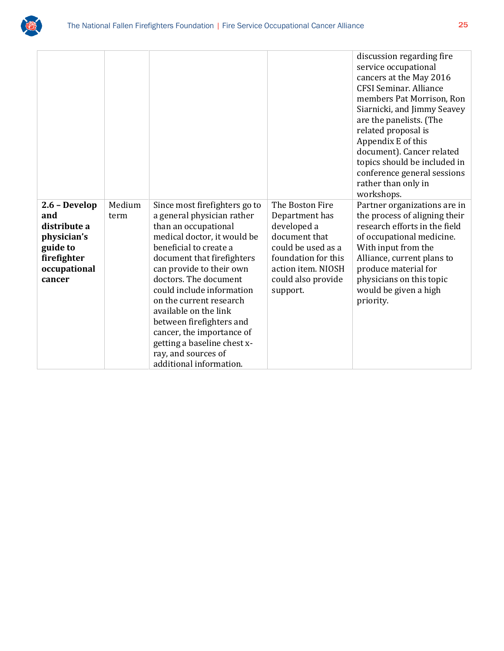

|                                                                                                          |                |                                                                                                                                                                                                                                                                                                                                                                                                                                                            |                                                                                                                                                                        | discussion regarding fire<br>service occupational<br>cancers at the May 2016<br><b>CFSI Seminar, Alliance</b><br>members Pat Morrison, Ron<br>Siarnicki, and Jimmy Seavey<br>are the panelists. (The<br>related proposal is<br>Appendix E of this<br>document). Cancer related<br>topics should be included in<br>conference general sessions<br>rather than only in<br>workshops. |
|----------------------------------------------------------------------------------------------------------|----------------|------------------------------------------------------------------------------------------------------------------------------------------------------------------------------------------------------------------------------------------------------------------------------------------------------------------------------------------------------------------------------------------------------------------------------------------------------------|------------------------------------------------------------------------------------------------------------------------------------------------------------------------|------------------------------------------------------------------------------------------------------------------------------------------------------------------------------------------------------------------------------------------------------------------------------------------------------------------------------------------------------------------------------------|
| 2.6 - Develop<br>and<br>distribute a<br>physician's<br>guide to<br>firefighter<br>occupational<br>cancer | Medium<br>term | Since most firefighters go to<br>a general physician rather<br>than an occupational<br>medical doctor, it would be<br>beneficial to create a<br>document that firefighters<br>can provide to their own<br>doctors. The document<br>could include information<br>on the current research<br>available on the link<br>between firefighters and<br>cancer, the importance of<br>getting a baseline chest x-<br>ray, and sources of<br>additional information. | The Boston Fire<br>Department has<br>developed a<br>document that<br>could be used as a<br>foundation for this<br>action item. NIOSH<br>could also provide<br>support. | Partner organizations are in<br>the process of aligning their<br>research efforts in the field<br>of occupational medicine.<br>With input from the<br>Alliance, current plans to<br>produce material for<br>physicians on this topic<br>would be given a high<br>priority.                                                                                                         |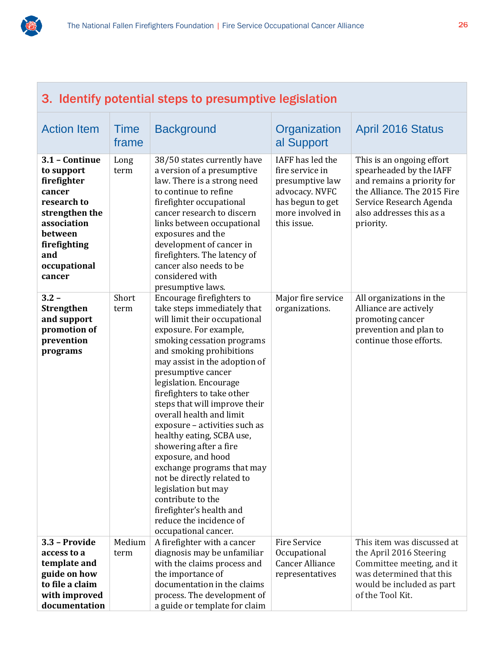

| 3. Identify potential steps to presumptive legislation                                                                                                            |                      |                                                                                                                                                                                                                                                                                                                                                                                                                                                                                                                                                                                                                                                                |                                                                                                                                 |                                                                                                                                                                                       |
|-------------------------------------------------------------------------------------------------------------------------------------------------------------------|----------------------|----------------------------------------------------------------------------------------------------------------------------------------------------------------------------------------------------------------------------------------------------------------------------------------------------------------------------------------------------------------------------------------------------------------------------------------------------------------------------------------------------------------------------------------------------------------------------------------------------------------------------------------------------------------|---------------------------------------------------------------------------------------------------------------------------------|---------------------------------------------------------------------------------------------------------------------------------------------------------------------------------------|
| <b>Action Item</b>                                                                                                                                                | <b>Time</b><br>frame | <b>Background</b>                                                                                                                                                                                                                                                                                                                                                                                                                                                                                                                                                                                                                                              | Organization<br>al Support                                                                                                      | <b>April 2016 Status</b>                                                                                                                                                              |
| 3.1 - Continue<br>to support<br>firefighter<br>cancer<br>research to<br>strengthen the<br>association<br>between<br>firefighting<br>and<br>occupational<br>cancer | Long<br>term         | 38/50 states currently have<br>a version of a presumptive<br>law. There is a strong need<br>to continue to refine<br>firefighter occupational<br>cancer research to discern<br>links between occupational<br>exposures and the<br>development of cancer in<br>firefighters. The latency of<br>cancer also needs to be<br>considered with<br>presumptive laws.                                                                                                                                                                                                                                                                                                  | IAFF has led the<br>fire service in<br>presumptive law<br>advocacy. NVFC<br>has begun to get<br>more involved in<br>this issue. | This is an ongoing effort<br>spearheaded by the IAFF<br>and remains a priority for<br>the Alliance. The 2015 Fire<br>Service Research Agenda<br>also addresses this as a<br>priority. |
| $3.2 -$<br><b>Strengthen</b><br>and support<br>promotion of<br>prevention<br>programs                                                                             | Short<br>term        | Encourage firefighters to<br>take steps immediately that<br>will limit their occupational<br>exposure. For example,<br>smoking cessation programs<br>and smoking prohibitions<br>may assist in the adoption of<br>presumptive cancer<br>legislation. Encourage<br>firefighters to take other<br>steps that will improve their<br>overall health and limit<br>exposure - activities such as<br>healthy eating, SCBA use,<br>showering after a fire<br>exposure, and hood<br>exchange programs that may<br>not be directly related to<br>legislation but may<br>contribute to the<br>firefighter's health and<br>reduce the incidence of<br>occupational cancer. | Major fire service<br>organizations.                                                                                            | All organizations in the<br>Alliance are actively<br>promoting cancer<br>prevention and plan to<br>continue those efforts.                                                            |
| 3.3 - Provide<br>access to a<br>template and<br>guide on how<br>to file a claim<br>with improved<br>documentation                                                 | Medium<br>term       | A firefighter with a cancer<br>diagnosis may be unfamiliar<br>with the claims process and<br>the importance of<br>documentation in the claims<br>process. The development of<br>a guide or template for claim                                                                                                                                                                                                                                                                                                                                                                                                                                                  | Fire Service<br>Occupational<br><b>Cancer Alliance</b><br>representatives                                                       | This item was discussed at<br>the April 2016 Steering<br>Committee meeting, and it<br>was determined that this<br>would be included as part<br>of the Tool Kit.                       |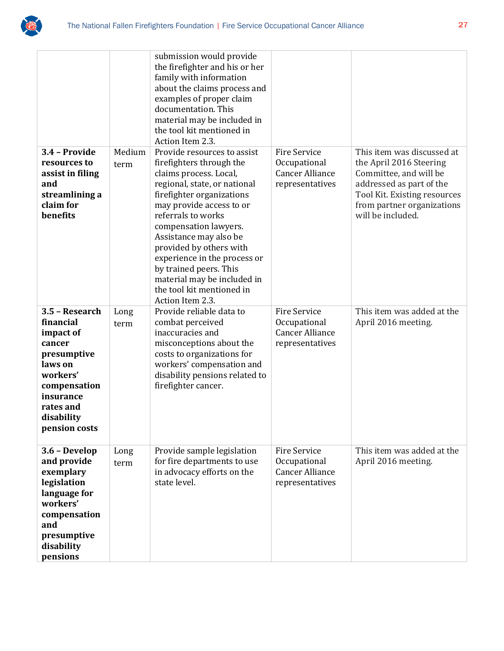

|                                                                                                                                                                   |              | submission would provide<br>the firefighter and his or her<br>family with information<br>about the claims process and<br>examples of proper claim<br>documentation. This<br>material may be included in<br>the tool kit mentioned in<br>Action Item 2.3.                                                                                                                                  |                                                                                  |                                                                                                                                                                  |
|-------------------------------------------------------------------------------------------------------------------------------------------------------------------|--------------|-------------------------------------------------------------------------------------------------------------------------------------------------------------------------------------------------------------------------------------------------------------------------------------------------------------------------------------------------------------------------------------------|----------------------------------------------------------------------------------|------------------------------------------------------------------------------------------------------------------------------------------------------------------|
| 3.4 - Provide                                                                                                                                                     | Medium       | Provide resources to assist                                                                                                                                                                                                                                                                                                                                                               | <b>Fire Service</b>                                                              | This item was discussed at                                                                                                                                       |
| resources to<br>assist in filing<br>and<br>streamlining a<br>claim for<br>benefits                                                                                | term         | firefighters through the<br>claims process. Local,<br>regional, state, or national<br>firefighter organizations<br>may provide access to or<br>referrals to works<br>compensation lawyers.<br>Assistance may also be<br>provided by others with<br>experience in the process or<br>by trained peers. This<br>material may be included in<br>the tool kit mentioned in<br>Action Item 2.3. | Occupational<br><b>Cancer Alliance</b><br>representatives                        | the April 2016 Steering<br>Committee, and will be<br>addressed as part of the<br>Tool Kit. Existing resources<br>from partner organizations<br>will be included. |
| 3.5 - Research<br>financial<br>impact of<br>cancer<br>presumptive<br>laws on<br>workers'<br>compensation<br>insurance<br>rates and<br>disability<br>pension costs | Long<br>term | Provide reliable data to<br>combat perceived<br>inaccuracies and<br>misconceptions about the<br>costs to organizations for<br>workers' compensation and<br>disability pensions related to<br>firefighter cancer.                                                                                                                                                                          | <b>Fire Service</b><br>Occupational<br><b>Cancer Alliance</b><br>representatives | This item was added at the<br>April 2016 meeting.                                                                                                                |
| 3.6 - Develop<br>and provide<br>exemplary<br>legislation<br>language for<br>workers'<br>compensation<br>and<br>presumptive<br>disability<br>pensions              | Long<br>term | Provide sample legislation<br>for fire departments to use<br>in advocacy efforts on the<br>state level.                                                                                                                                                                                                                                                                                   | Fire Service<br>Occupational<br><b>Cancer Alliance</b><br>representatives        | This item was added at the<br>April 2016 meeting.                                                                                                                |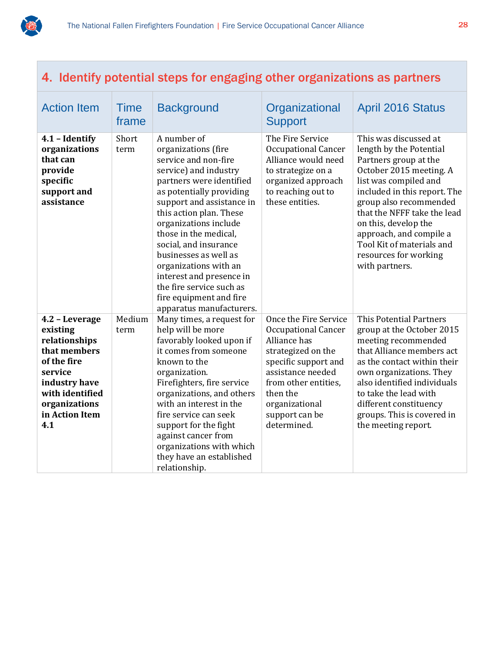

## 4. Identify potential steps for engaging other organizations as partners

| <b>Action Item</b>                                                                              | <b>Time</b><br>frame | <b>Background</b>                                                                                                                                                                                                                                                                                                                                                                                                                               | Organizational<br><b>Support</b>                                                                                                                           | <b>April 2016 Status</b>                                                                                                                                                                                                                                                                                                                          |
|-------------------------------------------------------------------------------------------------|----------------------|-------------------------------------------------------------------------------------------------------------------------------------------------------------------------------------------------------------------------------------------------------------------------------------------------------------------------------------------------------------------------------------------------------------------------------------------------|------------------------------------------------------------------------------------------------------------------------------------------------------------|---------------------------------------------------------------------------------------------------------------------------------------------------------------------------------------------------------------------------------------------------------------------------------------------------------------------------------------------------|
| 4.1 - Identify<br>organizations<br>that can<br>provide<br>specific<br>support and<br>assistance | Short<br>term        | A number of<br>organizations (fire<br>service and non-fire<br>service) and industry<br>partners were identified<br>as potentially providing<br>support and assistance in<br>this action plan. These<br>organizations include<br>those in the medical,<br>social, and insurance<br>businesses as well as<br>organizations with an<br>interest and presence in<br>the fire service such as<br>fire equipment and fire<br>apparatus manufacturers. | The Fire Service<br><b>Occupational Cancer</b><br>Alliance would need<br>to strategize on a<br>organized approach<br>to reaching out to<br>these entities. | This was discussed at<br>length by the Potential<br>Partners group at the<br>October 2015 meeting. A<br>list was compiled and<br>included in this report. The<br>group also recommended<br>that the NFFF take the lead<br>on this, develop the<br>approach, and compile a<br>Tool Kit of materials and<br>resources for working<br>with partners. |
| 4.2 - Leverage                                                                                  | Medium               | Many times, a request for                                                                                                                                                                                                                                                                                                                                                                                                                       | Once the Fire Service                                                                                                                                      | This Potential Partners                                                                                                                                                                                                                                                                                                                           |
| existing                                                                                        | term                 | help will be more                                                                                                                                                                                                                                                                                                                                                                                                                               | <b>Occupational Cancer</b>                                                                                                                                 | group at the October 2015                                                                                                                                                                                                                                                                                                                         |
| relationships                                                                                   |                      | favorably looked upon if                                                                                                                                                                                                                                                                                                                                                                                                                        | Alliance has                                                                                                                                               | meeting recommended                                                                                                                                                                                                                                                                                                                               |
| that members                                                                                    |                      | it comes from someone                                                                                                                                                                                                                                                                                                                                                                                                                           | strategized on the                                                                                                                                         | that Alliance members act                                                                                                                                                                                                                                                                                                                         |
| of the fire                                                                                     |                      | known to the                                                                                                                                                                                                                                                                                                                                                                                                                                    | specific support and                                                                                                                                       | as the contact within their                                                                                                                                                                                                                                                                                                                       |
| service                                                                                         |                      | organization.                                                                                                                                                                                                                                                                                                                                                                                                                                   | assistance needed                                                                                                                                          | own organizations. They                                                                                                                                                                                                                                                                                                                           |
| industry have                                                                                   |                      | Firefighters, fire service                                                                                                                                                                                                                                                                                                                                                                                                                      | from other entities,                                                                                                                                       | also identified individuals                                                                                                                                                                                                                                                                                                                       |
| with identified                                                                                 |                      | organizations, and others<br>with an interest in the                                                                                                                                                                                                                                                                                                                                                                                            | then the                                                                                                                                                   | to take the lead with                                                                                                                                                                                                                                                                                                                             |
| organizations<br>in Action Item                                                                 |                      | fire service can seek                                                                                                                                                                                                                                                                                                                                                                                                                           | organizational<br>support can be                                                                                                                           | different constituency                                                                                                                                                                                                                                                                                                                            |
| 4.1                                                                                             |                      | support for the fight                                                                                                                                                                                                                                                                                                                                                                                                                           | determined.                                                                                                                                                | groups. This is covered in<br>the meeting report.                                                                                                                                                                                                                                                                                                 |
|                                                                                                 |                      | against cancer from                                                                                                                                                                                                                                                                                                                                                                                                                             |                                                                                                                                                            |                                                                                                                                                                                                                                                                                                                                                   |
|                                                                                                 |                      | organizations with which                                                                                                                                                                                                                                                                                                                                                                                                                        |                                                                                                                                                            |                                                                                                                                                                                                                                                                                                                                                   |
|                                                                                                 |                      | they have an established                                                                                                                                                                                                                                                                                                                                                                                                                        |                                                                                                                                                            |                                                                                                                                                                                                                                                                                                                                                   |
|                                                                                                 |                      | relationship.                                                                                                                                                                                                                                                                                                                                                                                                                                   |                                                                                                                                                            |                                                                                                                                                                                                                                                                                                                                                   |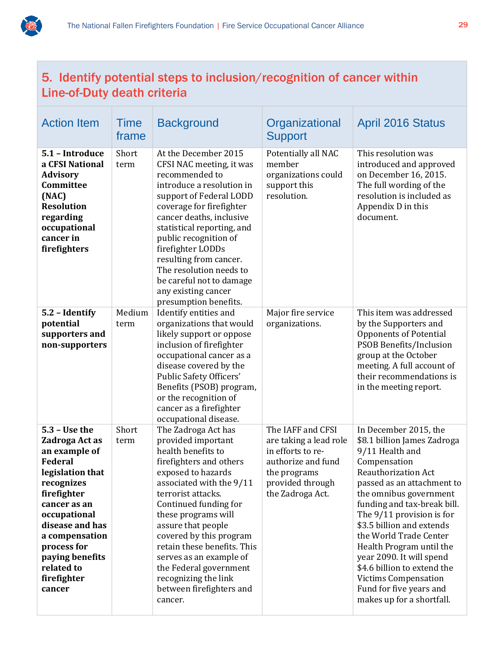

## 5. Identify potential steps to inclusion/recognition of cancer within Line-of-Duty death criteria

| <b>Action Item</b>                                                                                                                                                                                                                                                  | <b>Time</b><br>frame | <b>Background</b>                                                                                                                                                                                                                                                                                                                                                                                                      | Organizational<br><b>Support</b>                                                                                                               | <b>April 2016 Status</b>                                                                                                                                                                                                                                                                                                                                                                                                                                                |
|---------------------------------------------------------------------------------------------------------------------------------------------------------------------------------------------------------------------------------------------------------------------|----------------------|------------------------------------------------------------------------------------------------------------------------------------------------------------------------------------------------------------------------------------------------------------------------------------------------------------------------------------------------------------------------------------------------------------------------|------------------------------------------------------------------------------------------------------------------------------------------------|-------------------------------------------------------------------------------------------------------------------------------------------------------------------------------------------------------------------------------------------------------------------------------------------------------------------------------------------------------------------------------------------------------------------------------------------------------------------------|
| 5.1 - Introduce<br>a CFSI National<br><b>Advisory</b><br>Committee<br>(NAC)<br><b>Resolution</b><br>regarding<br>occupational<br>cancer in<br>firefighters                                                                                                          | Short<br>term        | At the December 2015<br>CFSI NAC meeting, it was<br>recommended to<br>introduce a resolution in<br>support of Federal LODD<br>coverage for firefighter<br>cancer deaths, inclusive<br>statistical reporting, and<br>public recognition of<br>firefighter LODDs<br>resulting from cancer.<br>The resolution needs to<br>be careful not to damage<br>any existing cancer<br>presumption benefits.                        | Potentially all NAC<br>member<br>organizations could<br>support this<br>resolution.                                                            | This resolution was<br>introduced and approved<br>on December 16, 2015.<br>The full wording of the<br>resolution is included as<br>Appendix D in this<br>document.                                                                                                                                                                                                                                                                                                      |
| 5.2 - Identify<br>potential<br>supporters and<br>non-supporters                                                                                                                                                                                                     | Medium<br>term       | Identify entities and<br>organizations that would<br>likely support or oppose<br>inclusion of firefighter<br>occupational cancer as a<br>disease covered by the<br>Public Safety Officers'<br>Benefits (PSOB) program,<br>or the recognition of<br>cancer as a firefighter<br>occupational disease.                                                                                                                    | Major fire service<br>organizations.                                                                                                           | This item was addressed<br>by the Supporters and<br>Opponents of Potential<br><b>PSOB Benefits/Inclusion</b><br>group at the October<br>meeting. A full account of<br>their recommendations is<br>in the meeting report.                                                                                                                                                                                                                                                |
| $5.3 - Use the$<br>Zadroga Act as<br>an example of<br><b>Federal</b><br>legislation that<br>recognizes<br>firefighter<br>cancer as an<br>occupational<br>disease and has<br>a compensation<br>process for<br>paying benefits<br>related to<br>firefighter<br>cancer | Short<br>term        | The Zadroga Act has<br>provided important<br>health benefits to<br>firefighters and others<br>exposed to hazards<br>associated with the 9/11<br>terrorist attacks.<br>Continued funding for<br>these programs will<br>assure that people<br>covered by this program<br>retain these benefits. This<br>serves as an example of<br>the Federal government<br>recognizing the link<br>between firefighters and<br>cancer. | The IAFF and CFSI<br>are taking a lead role<br>in efforts to re-<br>authorize and fund<br>the programs<br>provided through<br>the Zadroga Act. | In December 2015, the<br>\$8.1 billion James Zadroga<br>9/11 Health and<br>Compensation<br>Reauthorization Act<br>passed as an attachment to<br>the omnibus government<br>funding and tax-break bill.<br>The 9/11 provision is for<br>\$3.5 billion and extends<br>the World Trade Center<br>Health Program until the<br>year 2090. It will spend<br>\$4.6 billion to extend the<br><b>Victims Compensation</b><br>Fund for five years and<br>makes up for a shortfall. |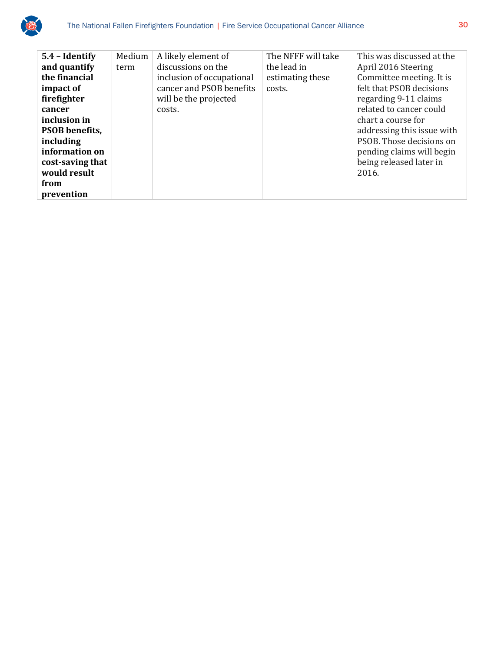

| 5.4 - Identify        | Medium | A likely element of       | The NFFF will take | This was discussed at the  |
|-----------------------|--------|---------------------------|--------------------|----------------------------|
| and quantify          | term   | discussions on the        | the lead in        | April 2016 Steering        |
| the financial         |        | inclusion of occupational | estimating these   | Committee meeting. It is   |
| impact of             |        | cancer and PSOB benefits  | costs.             | felt that PSOB decisions   |
| firefighter           |        | will be the projected     |                    | regarding 9-11 claims      |
| cancer                |        | costs.                    |                    | related to cancer could    |
| inclusion in          |        |                           |                    | chart a course for         |
| <b>PSOB</b> benefits, |        |                           |                    | addressing this issue with |
| including             |        |                           |                    | PSOB. Those decisions on   |
| information on        |        |                           |                    | pending claims will begin  |
| cost-saving that      |        |                           |                    | being released later in    |
| would result          |        |                           |                    | 2016.                      |
| from                  |        |                           |                    |                            |
| prevention            |        |                           |                    |                            |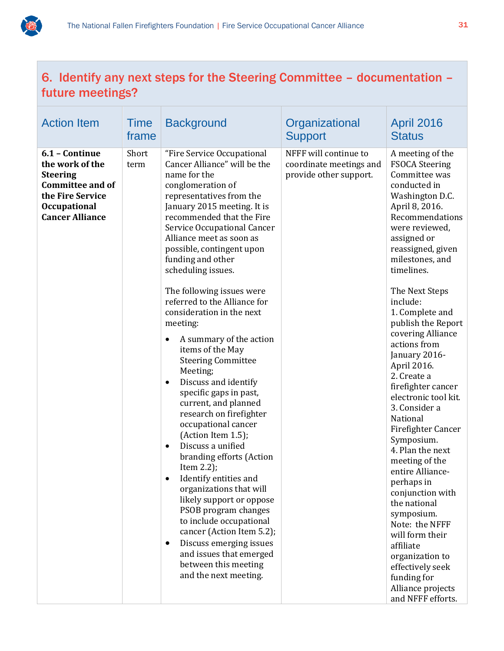

## 6. Identify any next steps for the Steering Committee – documentation – future meetings?

| <b>Action Item</b>                                                                                                                                   | <b>Time</b><br>frame | <b>Background</b>                                                                                                                                                                                                                                                                                                                                                                                                                                                                                                                                                                                                                                                                                                                                                                                                                                                                                                                                                                                                                                                                    | Organizational<br><b>Support</b>                                           | <b>April 2016</b><br><b>Status</b>                                                                                                                                                                                                                                                                                                                                                                                                                                                                                                                                                                                                                                                                                                                                              |
|------------------------------------------------------------------------------------------------------------------------------------------------------|----------------------|--------------------------------------------------------------------------------------------------------------------------------------------------------------------------------------------------------------------------------------------------------------------------------------------------------------------------------------------------------------------------------------------------------------------------------------------------------------------------------------------------------------------------------------------------------------------------------------------------------------------------------------------------------------------------------------------------------------------------------------------------------------------------------------------------------------------------------------------------------------------------------------------------------------------------------------------------------------------------------------------------------------------------------------------------------------------------------------|----------------------------------------------------------------------------|---------------------------------------------------------------------------------------------------------------------------------------------------------------------------------------------------------------------------------------------------------------------------------------------------------------------------------------------------------------------------------------------------------------------------------------------------------------------------------------------------------------------------------------------------------------------------------------------------------------------------------------------------------------------------------------------------------------------------------------------------------------------------------|
| 6.1 - Continue<br>the work of the<br><b>Steering</b><br><b>Committee and of</b><br>the Fire Service<br><b>Occupational</b><br><b>Cancer Alliance</b> | Short<br>term        | "Fire Service Occupational<br>Cancer Alliance" will be the<br>name for the<br>conglomeration of<br>representatives from the<br>January 2015 meeting. It is<br>recommended that the Fire<br>Service Occupational Cancer<br>Alliance meet as soon as<br>possible, contingent upon<br>funding and other<br>scheduling issues.<br>The following issues were<br>referred to the Alliance for<br>consideration in the next<br>meeting:<br>A summary of the action<br>$\bullet$<br>items of the May<br><b>Steering Committee</b><br>Meeting;<br>Discuss and identify<br>$\bullet$<br>specific gaps in past,<br>current, and planned<br>research on firefighter<br>occupational cancer<br>(Action Item 1.5);<br>Discuss a unified<br>$\bullet$<br>branding efforts (Action<br>Item $2.2$ );<br>Identify entities and<br>$\bullet$<br>organizations that will<br>likely support or oppose<br>PSOB program changes<br>to include occupational<br>cancer (Action Item 5.2);<br>Discuss emerging issues<br>$\bullet$<br>and issues that emerged<br>between this meeting<br>and the next meeting. | NFFF will continue to<br>coordinate meetings and<br>provide other support. | A meeting of the<br><b>FSOCA Steering</b><br>Committee was<br>conducted in<br>Washington D.C.<br>April 8, 2016.<br>Recommendations<br>were reviewed,<br>assigned or<br>reassigned, given<br>milestones, and<br>timelines.<br>The Next Steps<br>include:<br>1. Complete and<br>publish the Report<br>covering Alliance<br>actions from<br>January 2016-<br>April 2016.<br>2. Create a<br>firefighter cancer<br>electronic tool kit.<br>3. Consider a<br>National<br>Firefighter Cancer<br>Symposium.<br>4. Plan the next<br>meeting of the<br>entire Alliance-<br>perhaps in<br>conjunction with<br>the national<br>symposium.<br>Note: the NFFF<br>will form their<br>affiliate<br>organization to<br>effectively seek<br>funding for<br>Alliance projects<br>and NFFF efforts. |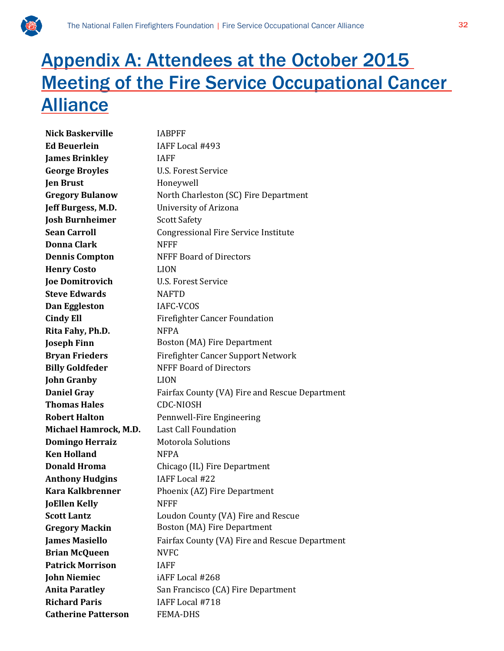

## Appendix A: Attendees at the October 2015 **Meeting of the Fire Service Occupational Cancer** Alliance

**Nick Baskerville** IABPFF **Ed Beuerlein** IAFF Local #493 **James Brinkley** IAFF **George Broyles** U.S. Forest Service **Jen Brust** Honeywell **Gregory Bulanow** North Charleston (SC) Fire Department **Jeff Burgess, M.D.** University of Arizona **Josh Burnheimer** Scott Safety **Sean Carroll** Congressional Fire Service Institute **Donna Clark** NFFF **Dennis Compton** NFFF Board of Directors **Henry Costo** LION **Joe Domitrovich** U.S. Forest Service **Steve Edwards** NAFTD **Dan Eggleston** IAFC-VCOS **Cindy Ell** Firefighter Cancer Foundation **Rita Fahy, Ph.D.** NFPA **Joseph Finn** Boston (MA) Fire Department **Bryan Frieders** Firefighter Cancer Support Network **Billy Goldfeder** NFFF Board of Directors **John Granby** LION **Daniel Gray** Fairfax County (VA) Fire and Rescue Department **Thomas Hales** CDC-NIOSH **Robert Halton** Pennwell-Fire Engineering **Michael Hamrock, M.D.** Last Call Foundation **Domingo Herraiz** Motorola Solutions **Ken Holland** NFPA **Donald Hroma** Chicago (IL) Fire Department **Anthony Hudgins** IAFF Local #22 **Kara Kalkbrenner** Phoenix (AZ) Fire Department **JoEllen Kelly** NFFF **Scott Lantz Loudon County (VA) Fire and Rescue Gregory Mackin Boston (MA) Fire Department James Masiello** Fairfax County (VA) Fire and Rescue Department **Brian McQueen** NVFC **Patrick Morrison** IAFF **John Niemiec** iAFF Local #268 **Anita Paratley** San Francisco (CA) Fire Department **Richard Paris** IAFF Local #718 **Catherine Patterson** FEMA-DHS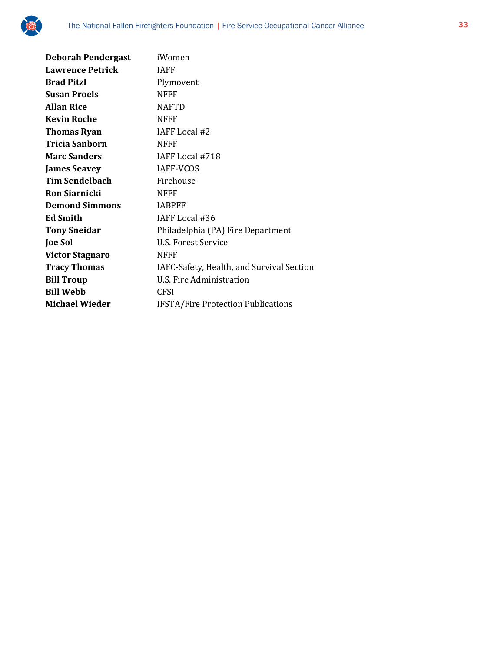

| iWomen                                    |
|-------------------------------------------|
| <b>IAFF</b>                               |
| Plymovent                                 |
| <b>NFFF</b>                               |
| <b>NAFTD</b>                              |
| <b>NFFF</b>                               |
| IAFF Local #2                             |
| <b>NFFF</b>                               |
| IAFF Local #718                           |
| <b>IAFF-VCOS</b>                          |
| Firehouse                                 |
| <b>NFFF</b>                               |
| <b>IABPFF</b>                             |
| IAFF Local #36                            |
| Philadelphia (PA) Fire Department         |
| U.S. Forest Service                       |
| <b>NFFF</b>                               |
| IAFC-Safety, Health, and Survival Section |
| U.S. Fire Administration                  |
| <b>CFSI</b>                               |
| <b>IFSTA/Fire Protection Publications</b> |
|                                           |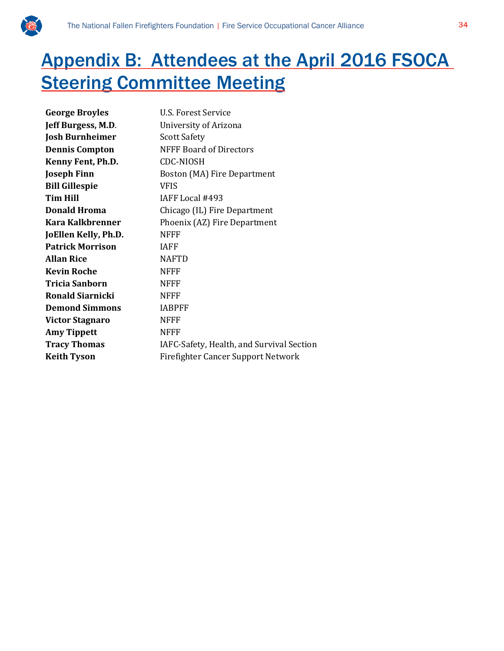

## Appendix B: Attendees at the April 2016 FSOCA **Steering Committee Meeting**

| <b>George Broyles</b>   | <b>U.S. Forest Service</b>                |
|-------------------------|-------------------------------------------|
| Jeff Burgess, M.D.      | University of Arizona                     |
| <b>Josh Burnheimer</b>  | <b>Scott Safety</b>                       |
| <b>Dennis Compton</b>   | <b>NFFF Board of Directors</b>            |
| Kenny Fent, Ph.D.       | <b>CDC-NIOSH</b>                          |
| <b>Joseph Finn</b>      | Boston (MA) Fire Department               |
| <b>Bill Gillespie</b>   | <b>VFIS</b>                               |
| <b>Tim Hill</b>         | IAFF Local #493                           |
| <b>Donald Hroma</b>     | Chicago (IL) Fire Department              |
| Kara Kalkbrenner        | Phoenix (AZ) Fire Department              |
| JoEllen Kelly, Ph.D.    | <b>NFFF</b>                               |
| <b>Patrick Morrison</b> | <b>IAFF</b>                               |
| <b>Allan Rice</b>       | <b>NAFTD</b>                              |
| <b>Kevin Roche</b>      | <b>NFFF</b>                               |
| <b>Tricia Sanborn</b>   | <b>NFFF</b>                               |
| <b>Ronald Siarnicki</b> | <b>NFFF</b>                               |
| <b>Demond Simmons</b>   | <b>IABPFF</b>                             |
| Victor Stagnaro         | <b>NFFF</b>                               |
| <b>Amy Tippett</b>      | <b>NFFF</b>                               |
| <b>Tracy Thomas</b>     | IAFC-Safety, Health, and Survival Section |
| <b>Keith Tyson</b>      | <b>Firefighter Cancer Support Network</b> |
|                         |                                           |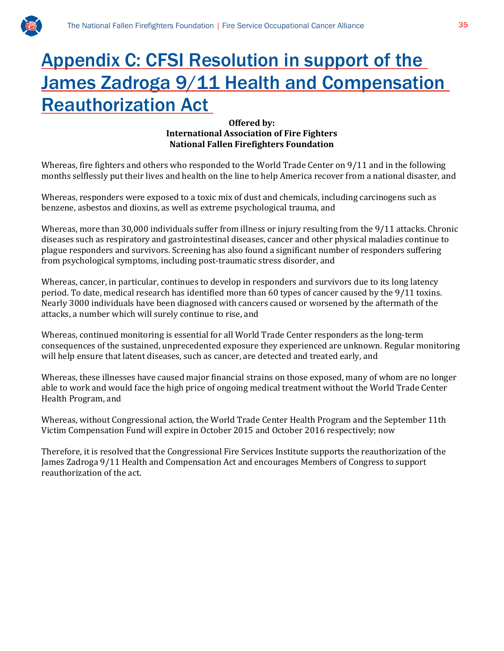

## Appendix C: CFSI Resolution in support of the James Zadroga 9/11 Health and Compensation Reauthorization Act

#### **Offered by: International Association of Fire Fighters National Fallen Firefighters Foundation**

Whereas, fire fighters and others who responded to the World Trade Center on 9/11 and in the following months selflessly put their lives and health on the line to help America recover from a national disaster, and

Whereas, responders were exposed to a toxic mix of dust and chemicals, including carcinogens such as benzene, asbestos and dioxins, as well as extreme psychological trauma, and

Whereas, more than 30,000 individuals suffer from illness or injury resulting from the 9/11 attacks. Chronic diseases such as respiratory and gastrointestinal diseases, cancer and other physical maladies continue to plague responders and survivors. Screening has also found a significant number of responders suffering from psychological symptoms, including post-traumatic stress disorder, and

Whereas, cancer, in particular, continues to develop in responders and survivors due to its long latency period. To date, medical research has identified more than 60 types of cancer caused by the 9/11 toxins. Nearly 3000 individuals have been diagnosed with cancers caused or worsened by the aftermath of the attacks, a number which will surely continue to rise, and

Whereas, continued monitoring is essential for all World Trade Center responders as the long-term consequences of the sustained, unprecedented exposure they experienced are unknown. Regular monitoring will help ensure that latent diseases, such as cancer, are detected and treated early, and

Whereas, these illnesses have caused major financial strains on those exposed, many of whom are no longer able to work and would face the high price of ongoing medical treatment without the World Trade Center Health Program, and

Whereas, without Congressional action, the World Trade Center Health Program and the September 11th Victim Compensation Fund will expire in October 2015 and October 2016 respectively; now

Therefore, it is resolved that the Congressional Fire Services Institute supports the reauthorization of the James Zadroga 9/11 Health and Compensation Act and encourages Members of Congress to support reauthorization of the act.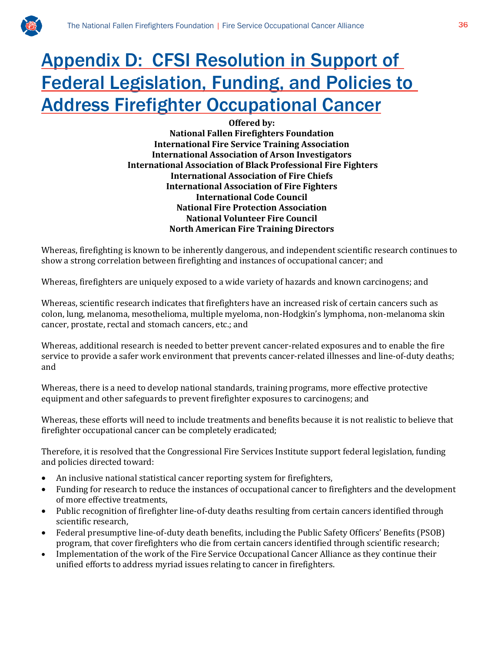

## Appendix D: CFSI Resolution in Support of Federal Legislation, Funding, and Policies to Address Firefighter Occupational Cancer

#### **Offered by: National Fallen Firefighters Foundation International Fire Service Training Association International Association of Arson Investigators International Association of Black Professional Fire Fighters International Association of Fire Chiefs**

**International Association of Fire Fighters International Code Council National Fire Protection Association National Volunteer Fire Council North American Fire Training Directors** 

Whereas, firefighting is known to be inherently dangerous, and independent scientific research continues to show a strong correlation between firefighting and instances of occupational cancer; and

Whereas, firefighters are uniquely exposed to a wide variety of hazards and known carcinogens; and

Whereas, scientific research indicates that firefighters have an increased risk of certain cancers such as colon, lung, melanoma, mesothelioma, multiple myeloma, non-Hodgkin's lymphoma, non-melanoma skin cancer, prostate, rectal and stomach cancers, etc.; and

Whereas, additional research is needed to better prevent cancer-related exposures and to enable the fire service to provide a safer work environment that prevents cancer-related illnesses and line-of-duty deaths; and

Whereas, there is a need to develop national standards, training programs, more effective protective equipment and other safeguards to prevent firefighter exposures to carcinogens; and

Whereas, these efforts will need to include treatments and benefits because it is not realistic to believe that firefighter occupational cancer can be completely eradicated;

Therefore, it is resolved that the Congressional Fire Services Institute support federal legislation, funding and policies directed toward:

- An inclusive national statistical cancer reporting system for firefighters,
- Funding for research to reduce the instances of occupational cancer to firefighters and the development of more effective treatments,
- Public recognition of firefighter line-of-duty deaths resulting from certain cancers identified through scientific research,
- Federal presumptive line-of-duty death benefits, including the Public Safety Officers' Benefits (PSOB) program, that cover firefighters who die from certain cancers identified through scientific research;
- Implementation of the work of the Fire Service Occupational Cancer Alliance as they continue their unified efforts to address myriad issues relating to cancer in firefighters.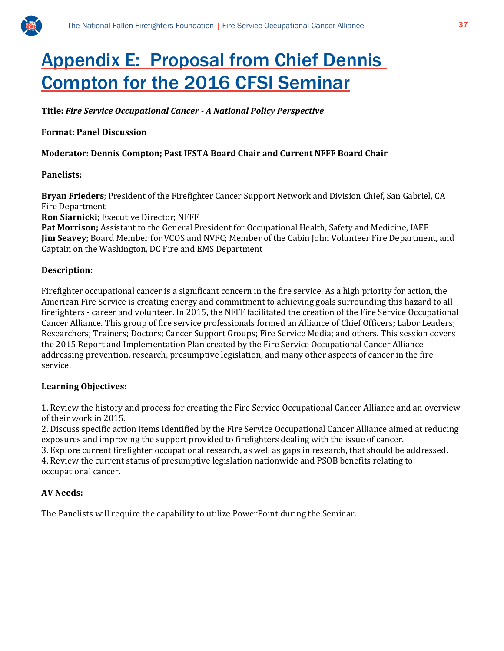

## Appendix E: Proposal from Chief Dennis Compton for the 2016 CFSI Seminar

**Title:** *Fire Service Occupational Cancer - A National Policy Perspective*

#### **Format: Panel Discussion**

#### **Moderator: Dennis Compton; Past IFSTA Board Chair and Current NFFF Board Chair**

#### **Panelists:**

**Bryan Frieders**; President of the Firefighter Cancer Support Network and Division Chief, San Gabriel, CA Fire Department

**Ron Siarnicki;** Executive Director; NFFF

**Pat Morrison;** Assistant to the General President for Occupational Health, Safety and Medicine, IAFF **Jim Seavey;** Board Member for VCOS and NVFC; Member of the Cabin John Volunteer Fire Department, and Captain on the Washington, DC Fire and EMS Department

#### **Description:**

Firefighter occupational cancer is a significant concern in the fire service. As a high priority for action, the American Fire Service is creating energy and commitment to achieving goals surrounding this hazard to all firefighters - career and volunteer. In 2015, the NFFF facilitated the creation of the Fire Service Occupational Cancer Alliance. This group of fire service professionals formed an Alliance of Chief Officers; Labor Leaders; Researchers; Trainers; Doctors; Cancer Support Groups; Fire Service Media; and others. This session covers the 2015 Report and Implementation Plan created by the Fire Service Occupational Cancer Alliance addressing prevention, research, presumptive legislation, and many other aspects of cancer in the fire service.

#### **Learning Objectives:**

1. Review the history and process for creating the Fire Service Occupational Cancer Alliance and an overview of their work in 2015.

2. Discuss specific action items identified by the Fire Service Occupational Cancer Alliance aimed at reducing exposures and improving the support provided to firefighters dealing with the issue of cancer.

3. Explore current firefighter occupational research, as well as gaps in research, that should be addressed.

4. Review the current status of presumptive legislation nationwide and PSOB benefits relating to occupational cancer.

#### **AV Needs:**

The Panelists will require the capability to utilize PowerPoint during the Seminar.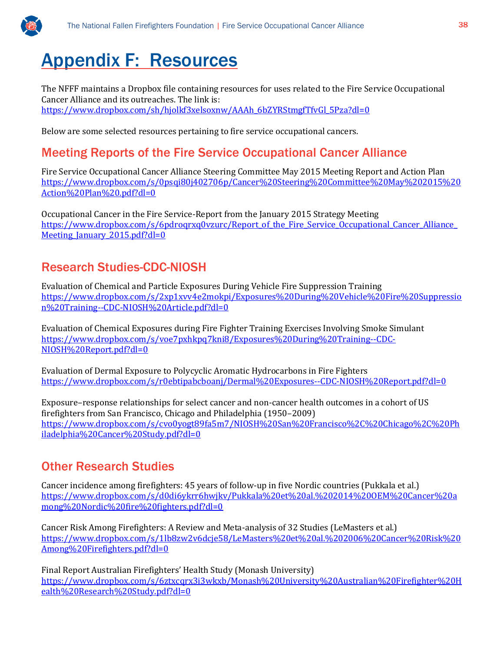

## Appendix F: Resources

The NFFF maintains a Dropbox file containing resources for uses related to the Fire Service Occupational Cancer Alliance and its outreaches. The link is: [https://www.dropbox.com/sh/hjolkf3xelsoxnw/AAAh\\_6bZYRStmgfTfvGl\\_5Pza?dl=0](https://www.dropbox.com/sh/hjolkf3xelsoxnw/AAAh_6bZYRStmgfTfvGl_5Pza?dl=0)

Below are some selected resources pertaining to fire service occupational cancers.

## Meeting Reports of the Fire Service Occupational Cancer Alliance

Fire Service Occupational Cancer Alliance Steering Committee May 2015 Meeting Report and Action Plan [https://www.dropbox.com/s/0psqi80j402706p/Cancer%20Steering%20Committee%20May%202015%20](https://www.dropbox.com/s/0psqi80j402706p/Cancer%20Steering%20Committee%20May%202015%20Action%20Plan%20.pdf?dl=0) [Action%20Plan%20.pdf?dl=0](https://www.dropbox.com/s/0psqi80j402706p/Cancer%20Steering%20Committee%20May%202015%20Action%20Plan%20.pdf?dl=0)

Occupational Cancer in the Fire Service-Report from the January 2015 Strategy Meeting https://www.dropbox.com/s/6pdroqrxq0vzurc/Report of the Fire Service Occupational Cancer Alliance Meeting January 2015.pdf?dl=0

## Research Studies-CDC-NIOSH

Evaluation of Chemical and Particle Exposures During Vehicle Fire Suppression Training [https://www.dropbox.com/s/2xp1xvv4e2mokpi/Exposures%20During%20Vehicle%20Fire%20Suppressio](https://www.dropbox.com/s/2xp1xvv4e2mokpi/Exposures%20During%20Vehicle%20Fire%20Suppression%20Training--CDC-NIOSH%20Article.pdf?dl=0) [n%20Training--CDC-NIOSH%20Article.pdf?dl=0](https://www.dropbox.com/s/2xp1xvv4e2mokpi/Exposures%20During%20Vehicle%20Fire%20Suppression%20Training--CDC-NIOSH%20Article.pdf?dl=0)

Evaluation of Chemical Exposures during Fire Fighter Training Exercises Involving Smoke Simulant [https://www.dropbox.com/s/voe7pxhkpq7kni8/Exposures%20During%20Training--CDC-](https://www.dropbox.com/s/voe7pxhkpq7kni8/Exposures%20During%20Training--CDC-NIOSH%20Report.pdf?dl=0)[NIOSH%20Report.pdf?dl=0](https://www.dropbox.com/s/voe7pxhkpq7kni8/Exposures%20During%20Training--CDC-NIOSH%20Report.pdf?dl=0)

Evaluation of Dermal Exposure to Polycyclic Aromatic Hydrocarbons in Fire Fighters <https://www.dropbox.com/s/r0ebtipabcboanj/Dermal%20Exposures--CDC-NIOSH%20Report.pdf?dl=0>

Exposure–response relationships for select cancer and non-cancer health outcomes in a cohort of US firefighters from San Francisco, Chicago and Philadelphia (1950–2009) [https://www.dropbox.com/s/cvo0yogt89fa5m7/NIOSH%20San%20Francisco%2C%20Chicago%2C%20Ph](https://www.dropbox.com/s/cvo0yogt89fa5m7/NIOSH%20San%20Francisco%2C%20Chicago%2C%20Philadelphia%20Cancer%20Study.pdf?dl=0) [iladelphia%20Cancer%20Study.pdf?dl=0](https://www.dropbox.com/s/cvo0yogt89fa5m7/NIOSH%20San%20Francisco%2C%20Chicago%2C%20Philadelphia%20Cancer%20Study.pdf?dl=0)

## Other Research Studies

Cancer incidence among firefighters: 45 years of follow-up in five Nordic countries (Pukkala et al.) [https://www.dropbox.com/s/d0di6ykrr6hwjkv/Pukkala%20et%20al.%202014%20OEM%20Cancer%20a](https://www.dropbox.com/s/d0di6ykrr6hwjkv/Pukkala%20et%20al.%202014%20OEM%20Cancer%20among%20Nordic%20fire%20fighters.pdf?dl=0) [mong%20Nordic%20fire%20fighters.pdf?dl=0](https://www.dropbox.com/s/d0di6ykrr6hwjkv/Pukkala%20et%20al.%202014%20OEM%20Cancer%20among%20Nordic%20fire%20fighters.pdf?dl=0)

Cancer Risk Among Firefighters: A Review and Meta-analysis of 32 Studies (LeMasters et al.) [https://www.dropbox.com/s/1lb8zw2v6dcje58/LeMasters%20et%20al.%202006%20Cancer%20Risk%20](https://www.dropbox.com/s/1lb8zw2v6dcje58/LeMasters%20et%20al.%202006%20Cancer%20Risk%20Among%20Firefighters.pdf?dl=0) [Among%20Firefighters.pdf?dl=0](https://www.dropbox.com/s/1lb8zw2v6dcje58/LeMasters%20et%20al.%202006%20Cancer%20Risk%20Among%20Firefighters.pdf?dl=0)

Final Report Australian Firefighters' Health Study (Monash University) [https://www.dropbox.com/s/6ztxcqrx3i3wkxb/Monash%20University%20Australian%20Firefighter%20H](https://www.dropbox.com/s/6ztxcqrx3i3wkxb/Monash%20University%20Australian%20Firefighter%20Health%20Research%20Study.pdf?dl=0) [ealth%20Research%20Study.pdf?dl=0](https://www.dropbox.com/s/6ztxcqrx3i3wkxb/Monash%20University%20Australian%20Firefighter%20Health%20Research%20Study.pdf?dl=0)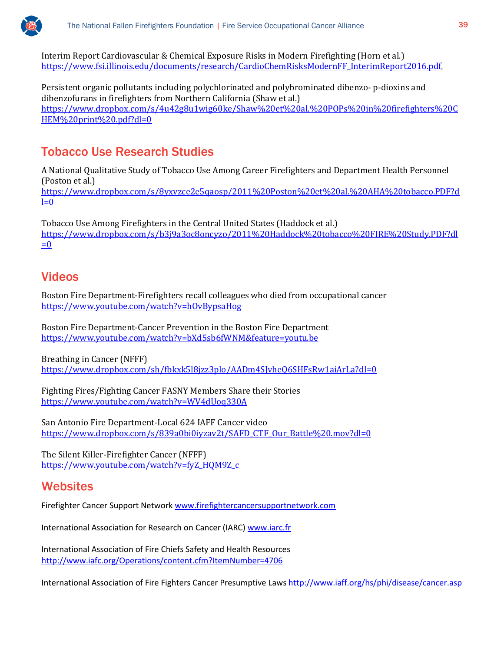

Interim Report Cardiovascular & Chemical Exposure Risks in Modern Firefighting (Horn et al.) [https://www.fsi.illinois.edu/documents/research/CardioChemRisksModernFF\\_InterimReport2016.pdf.](https://www.fsi.illinois.edu/documents/research/CardioChemRisksModernFF_InterimReport2016.pdf)

Persistent organic pollutants including polychlorinated and polybrominated dibenzo- p-dioxins and dibenzofurans in firefighters from Northern California (Shaw et al.) [https://www.dropbox.com/s/4u42g8u1wig60ke/Shaw%20et%20al.%20POPs%20in%20firefighters%20C](https://www.dropbox.com/s/4u42g8u1wig60ke/Shaw%20et%20al.%20POPs%20in%20firefighters%20CHEM%20print%20.pdf?dl=0) [HEM%20print%20.pdf?dl=0](https://www.dropbox.com/s/4u42g8u1wig60ke/Shaw%20et%20al.%20POPs%20in%20firefighters%20CHEM%20print%20.pdf?dl=0)

## Tobacco Use Research Studies

A National Qualitative Study of Tobacco Use Among Career Firefighters and Department Health Personnel (Poston et al.) [https://www.dropbox.com/s/8yxvzce2e5qaosp/2011%20Poston%20et%20al.%20AHA%20tobacco.PDF?d](https://www.dropbox.com/s/8yxvzce2e5qaosp/2011%20Poston%20et%20al.%20AHA%20tobacco.PDF?dl=0)  $l=0$ 

Tobacco Use Among Firefighters in the Central United States (Haddock et al.) [https://www.dropbox.com/s/b3j9a3oc8oncyzo/2011%20Haddock%20tobacco%20FIRE%20Study.PDF?dl](https://www.dropbox.com/s/b3j9a3oc8oncyzo/2011%20Haddock%20tobacco%20FIRE%20Study.PDF?dl=0)  $=0$ 

## Videos

Boston Fire Department-Firefighters recall colleagues who died from occupational cancer <https://www.youtube.com/watch?v=hOvBypsaHog>

Boston Fire Department-Cancer Prevention in the Boston Fire Department <https://www.youtube.com/watch?v=bXd5sb6fWNM&feature=youtu.be>

Breathing in Cancer (NFFF) <https://www.dropbox.com/sh/fbkxk5l8jzz3plo/AADm4SJvheQ6SHFsRw1aiArLa?dl=0>

Fighting Fires/Fighting Cancer FASNY Members Share their Stories <https://www.youtube.com/watch?v=WV4dUoq330A>

San Antonio Fire Department-Local 624 IAFF Cancer video [https://www.dropbox.com/s/839a0bi0iyzav2t/SAFD\\_CTF\\_Our\\_Battle%20.mov?dl=0](https://www.dropbox.com/s/839a0bi0iyzav2t/SAFD_CTF_Our_Battle%20.mov?dl=0)

The Silent Killer-Firefighter Cancer (NFFF) [https://www.youtube.com/watch?v=fyZ\\_HQM9Z\\_c](https://www.youtube.com/watch?v=fyZ_HQM9Z_c)

## **Websites**

Firefighter Cancer Support Network [www.firefightercancersupportnetwork.com](http://www.firefightercancersupportnetwork.com/)

International Association for Research on Cancer (IARC) [www.iarc.fr](http://www.iarc.fr/)

International Association of Fire Chiefs Safety and Health Resources <http://www.iafc.org/Operations/content.cfm?ItemNumber=4706>

International Association of Fire Fighters Cancer Presumptive Law[s http://www.iaff.org/hs/phi/disease/cancer.asp](http://www.iaff.org/hs/phi/disease/cancer.asp)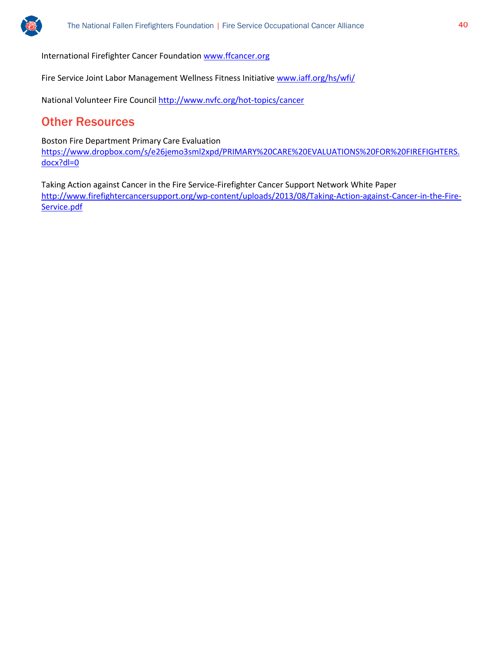

International Firefighter Cancer Foundation [www.ffcancer.org](http://www.ffcancer.org/)

Fire Service Joint Labor Management Wellness Fitness Initiative [www.iaff.org/hs/wfi/](http://www.iaff.org/hs/wfi/)

National Volunteer Fire Counci[l http://www.nvfc.org/hot-topics/cancer](http://www.nvfc.org/hot-topics/cancer)

### Other Resources

Boston Fire Department Primary Care Evaluation [https://www.dropbox.com/s/e26jemo3sml2xpd/PRIMARY%20CARE%20EVALUATIONS%20FOR%20FIREFIGHTERS.](https://www.dropbox.com/s/e26jemo3sml2xpd/PRIMARY%20CARE%20EVALUATIONS%20FOR%20FIREFIGHTERS.docx?dl=0) [docx?dl=0](https://www.dropbox.com/s/e26jemo3sml2xpd/PRIMARY%20CARE%20EVALUATIONS%20FOR%20FIREFIGHTERS.docx?dl=0)

Taking Action against Cancer in the Fire Service-Firefighter Cancer Support Network White Paper [http://www.firefightercancersupport.org/wp-content/uploads/2013/08/Taking-Action-against-Cancer-in-the-Fire-](http://www.firefightercancersupport.org/wp-content/uploads/2013/08/Taking-Action-against-Cancer-in-the-Fire-Service.pdf)[Service.pdf](http://www.firefightercancersupport.org/wp-content/uploads/2013/08/Taking-Action-against-Cancer-in-the-Fire-Service.pdf)